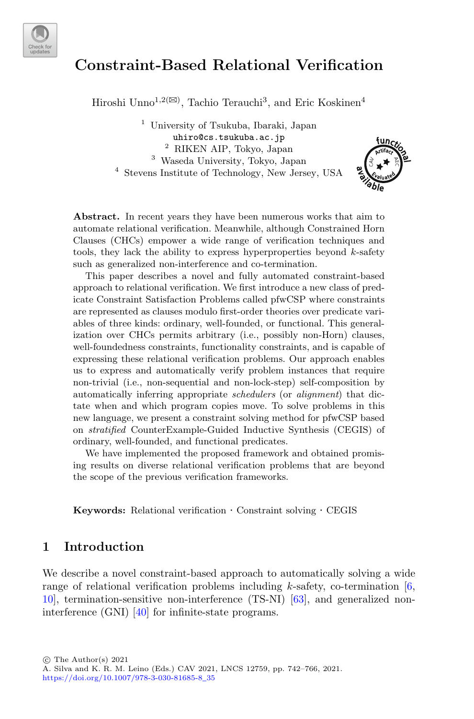

# **Constraint-Based Relational Verification**

 $\operatorname{Hiroshi}$   $\operatorname{Unno^{1,2(\boxtimes)}}$  , Tachio Terauchi $^3,$  and Eric Koskinen $^4$ 

 University of Tsukuba, Ibaraki, Japan uhiro@cs.tsukuba.ac.jp RIKEN AIP, Tokyo, Japan Waseda University, Tokyo, Japan Stevens Institute of Technology, New Jersey, USA



**Abstract.** In recent years they have been numerous works that aim to automate relational verification. Meanwhile, although Constrained Horn Clauses (CHCs) empower a wide range of verification techniques and tools, they lack the ability to express hyperproperties beyond *k*-safety such as generalized non-interference and co-termination.

This paper describes a novel and fully automated constraint-based approach to relational verification. We first introduce a new class of predicate Constraint Satisfaction Problems called pfwCSP where constraints are represented as clauses modulo first-order theories over predicate variables of three kinds: ordinary, well-founded, or functional. This generalization over CHCs permits arbitrary (i.e., possibly non-Horn) clauses, well-foundedness constraints, functionality constraints, and is capable of expressing these relational verification problems. Our approach enables us to express and automatically verify problem instances that require non-trivial (i.e., non-sequential and non-lock-step) self-composition by automatically inferring appropriate *schedulers* (or *alignment*) that dictate when and which program copies move. To solve problems in this new language, we present a constraint solving method for pfwCSP based on *stratified* CounterExample-Guided Inductive Synthesis (CEGIS) of ordinary, well-founded, and functional predicates.

We have implemented the proposed framework and obtained promising results on diverse relational verification problems that are beyond the scope of the previous verification frameworks.

**Keywords:** Relational verification · Constraint solving · CEGIS

## **1 Introduction**

We describe a novel constraint-based approach to automatically solving a wide range of relational verification problems including  $k$ -safety, co-termination  $[6,$  $[6,$ [10](#page-21-1)], termination-sensitive non-interference (TS-NI) [\[63\]](#page-24-0), and generalized noninterference (GNI) [\[40\]](#page-22-0) for infinite-state programs.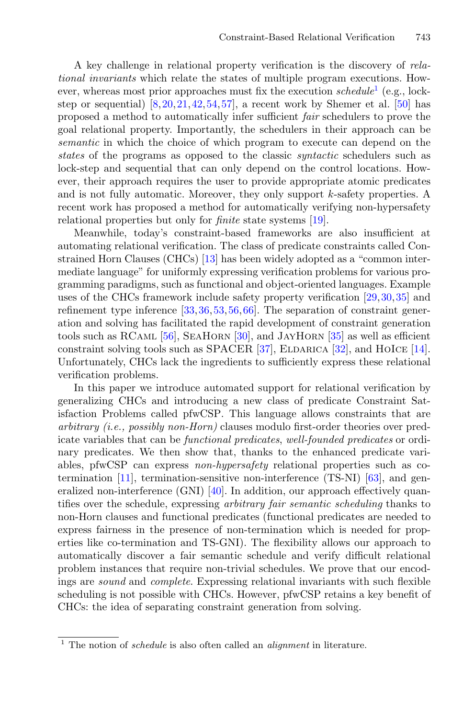A key challenge in relational property verification is the discovery of *relational invariants* which relate the states of multiple program executions. However, whereas most prior approaches must fix the execution *schedule*[1](#page-1-0) (e.g., lockstep or sequential)  $[8,20,21,42,54,57]$  $[8,20,21,42,54,57]$  $[8,20,21,42,54,57]$  $[8,20,21,42,54,57]$  $[8,20,21,42,54,57]$  $[8,20,21,42,54,57]$  $[8,20,21,42,54,57]$  $[8,20,21,42,54,57]$ , a recent work by Shemer et al. [\[50](#page-23-3)] has proposed a method to automatically infer sufficient *fair* schedulers to prove the goal relational property. Importantly, the schedulers in their approach can be *semantic* in which the choice of which program to execute can depend on the *states* of the programs as opposed to the classic *syntactic* schedulers such as lock-step and sequential that can only depend on the control locations. However, their approach requires the user to provide appropriate atomic predicates and is not fully automatic. Moreover, they only support k-safety properties. A recent work has proposed a method for automatically verifying non-hypersafety relational properties but only for *finite* state systems [\[19\]](#page-21-5).

Meanwhile, today's constraint-based frameworks are also insufficient at automating relational verification. The class of predicate constraints called Constrained Horn Clauses (CHCs) [\[13\]](#page-21-6) has been widely adopted as a "common intermediate language" for uniformly expressing verification problems for various programming paradigms, such as functional and object-oriented languages. Example uses of the CHCs framework include safety property verification [\[29,](#page-22-1)[30](#page-22-2)[,35](#page-22-3)] and refinement type inference [\[33,](#page-22-4)[36](#page-22-5)[,53,](#page-23-4)[56](#page-23-5)[,66](#page-24-1)]. The separation of constraint generation and solving has facilitated the rapid development of constraint generation tools such as RCaml [\[56](#page-23-5)], SeaHorn [\[30\]](#page-22-2), and JayHorn [\[35\]](#page-22-3) as well as efficient constraint solving tools such as SPACER  $[37]$ , ELDARICA  $[32]$ , and HOICE  $[14]$ . Unfortunately, CHCs lack the ingredients to sufficiently express these relational verification problems.

In this paper we introduce automated support for relational verification by generalizing CHCs and introducing a new class of predicate Constraint Satisfaction Problems called pfwCSP. This language allows constraints that are *arbitrary (i.e., possibly non-Horn)* clauses modulo first-order theories over predicate variables that can be *functional predicates*, *well-founded predicates* or ordinary predicates. We then show that, thanks to the enhanced predicate variables, pfwCSP can express *non-hypersafety* relational properties such as cotermination [\[11](#page-21-8)], termination-sensitive non-interference (TS-NI) [\[63](#page-24-0)], and generalized non-interference (GNI)  $[40]$  $[40]$ . In addition, our approach effectively quantifies over the schedule, expressing *arbitrary fair semantic scheduling* thanks to non-Horn clauses and functional predicates (functional predicates are needed to express fairness in the presence of non-termination which is needed for properties like co-termination and TS-GNI). The flexibility allows our approach to automatically discover a fair semantic schedule and verify difficult relational problem instances that require non-trivial schedules. We prove that our encodings are *sound* and *complete*. Expressing relational invariants with such flexible scheduling is not possible with CHCs. However, pfwCSP retains a key benefit of CHCs: the idea of separating constraint generation from solving.

<span id="page-1-0"></span><sup>1</sup> The notion of *schedule* is also often called an *alignment* in literature.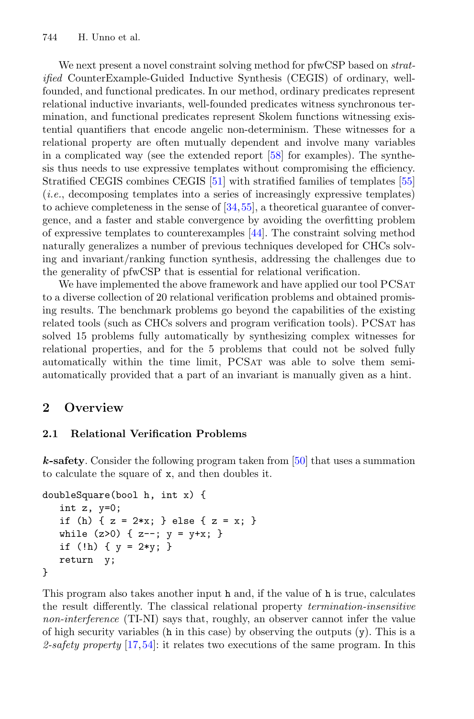We next present a novel constraint solving method for pfwCSP based on *stratified* CounterExample-Guided Inductive Synthesis (CEGIS) of ordinary, wellfounded, and functional predicates. In our method, ordinary predicates represent relational inductive invariants, well-founded predicates witness synchronous termination, and functional predicates represent Skolem functions witnessing existential quantifiers that encode angelic non-determinism. These witnesses for a relational property are often mutually dependent and involve many variables in a complicated way (see the extended report [\[58\]](#page-23-6) for examples). The synthesis thus needs to use expressive templates without compromising the efficiency. Stratified CEGIS combines CEGIS [\[51\]](#page-23-7) with stratified families of templates [\[55](#page-23-8)] (*i.e.*, decomposing templates into a series of increasingly expressive templates) to achieve completeness in the sense of [\[34,](#page-22-8)[55\]](#page-23-8), a theoretical guarantee of convergence, and a faster and stable convergence by avoiding the overfitting problem of expressive templates to counterexamples [\[44\]](#page-23-9). The constraint solving method naturally generalizes a number of previous techniques developed for CHCs solving and invariant/ranking function synthesis, addressing the challenges due to the generality of pfwCSP that is essential for relational verification.

We have implemented the above framework and have applied our tool PCSAT to a diverse collection of 20 relational verification problems and obtained promising results. The benchmark problems go beyond the capabilities of the existing related tools (such as CHCs solvers and program verification tools). PCSat has solved 15 problems fully automatically by synthesizing complex witnesses for relational properties, and for the 5 problems that could not be solved fully automatically within the time limit, PCSAT was able to solve them semiautomatically provided that a part of an invariant is manually given as a hint.

# <span id="page-2-0"></span>**2 Overview**

## <span id="page-2-1"></span>**2.1 Relational Verification Problems**

*k***-safety**. Consider the following program taken from [\[50](#page-23-3)] that uses a summation to calculate the square of x, and then doubles it.

```
doubleSquare(bool h, int x) {
   int z, y=0;
   if (h) { z = 2*x; } else { z = x; }
   while (z>0) { z--; y = y+x; }
   if (!h) { y = 2*y; }
   return y;
}
```
This program also takes another input h and, if the value of h is true, calculates the result differently. The classical relational property *termination-insensitive non-interference* (TI-NI) says that, roughly, an observer cannot infer the value of high security variables (h in this case) by observing the outputs  $(y)$ . This is a *2-safety property* [\[17](#page-21-9),[54\]](#page-23-1): it relates two executions of the same program. In this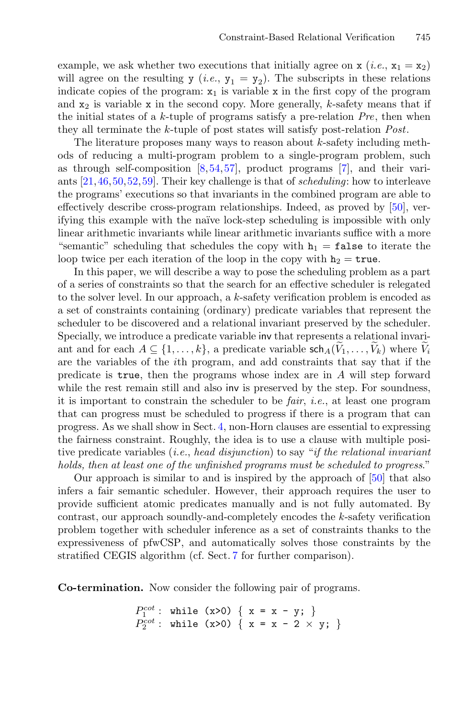example, we ask whether two executions that initially agree on  $x (i.e., x_1 = x_2)$ will agree on the resulting y (*i.e.*,  $y_1 = y_2$ ). The subscripts in these relations indicate copies of the program:  $x_1$  is variable x in the first copy of the program and  $x_2$  is variable x in the second copy. More generally, k-safety means that if the initial states of a k-tuple of programs satisfy a pre-relation *Pre*, then when they all terminate the k-tuple of post states will satisfy post-relation *Post*.

The literature proposes many ways to reason about  $k$ -safety including methods of reducing a multi-program problem to a single-program problem, such as through self-composition  $[8,54,57]$  $[8,54,57]$  $[8,54,57]$  $[8,54,57]$ , product programs  $[7]$ , and their variants [\[21,](#page-21-4)[46](#page-23-10)[,50](#page-23-3)[,52](#page-23-11),[59\]](#page-23-12). Their key challenge is that of *scheduling*: how to interleave the programs' executions so that invariants in the combined program are able to effectively describe cross-program relationships. Indeed, as proved by [\[50\]](#page-23-3), verifying this example with the na¨ıve lock-step scheduling is impossible with only linear arithmetic invariants while linear arithmetic invariants suffice with a more "semantic" scheduling that schedules the copy with  $h_1 = false$  to iterate the loop twice per each iteration of the loop in the copy with  $h_2 = \text{true}$ .

In this paper, we will describe a way to pose the scheduling problem as a part of a series of constraints so that the search for an effective scheduler is relegated to the solver level. In our approach, a k-safety verification problem is encoded as a set of constraints containing (ordinary) predicate variables that represent the scheduler to be discovered and a relational invariant preserved by the scheduler. Specially, we introduce a predicate variable inv that represents a relational invariof a series of constraints so that the search for an effective scheduler is relegated<br>to the solver level. In our approach, a k-safety verification problem is encoded as<br>a set of constraints containing (ordinary) predicat are the variables of the ith program, and add constraints that say that if the predicate is true, then the programs whose index are in A will step forward while the rest remain still and also inv is preserved by the step. For soundness, it is important to constrain the scheduler to be *fair*, *i.e.*, at least one program that can progress must be scheduled to progress if there is a program that can progress. As we shall show in Sect. [4,](#page-8-0) non-Horn clauses are essential to expressing the fairness constraint. Roughly, the idea is to use a clause with multiple positive predicate variables (*i.e.*, *head disjunction*) to say "*if the relational invariant holds, then at least one of the unfinished programs must be scheduled to progress*."

Our approach is similar to and is inspired by the approach of [\[50\]](#page-23-3) that also infers a fair semantic scheduler. However, their approach requires the user to provide sufficient atomic predicates manually and is not fully automated. By contrast, our approach soundly-and-completely encodes the k-safety verification problem together with scheduler inference as a set of constraints thanks to the expressiveness of pfwCSP, and automatically solves those constraints by the stratified CEGIS algorithm (cf. Sect. [7](#page-18-0) for further comparison).

<span id="page-3-0"></span>**Co-termination.** Now consider the following pair of programs.

 $P_1^{cot}$ : while (x>0) { x = x - y; }<br>  $P_2^{cot}$ : while (x>0) { x = x - 2 × y; }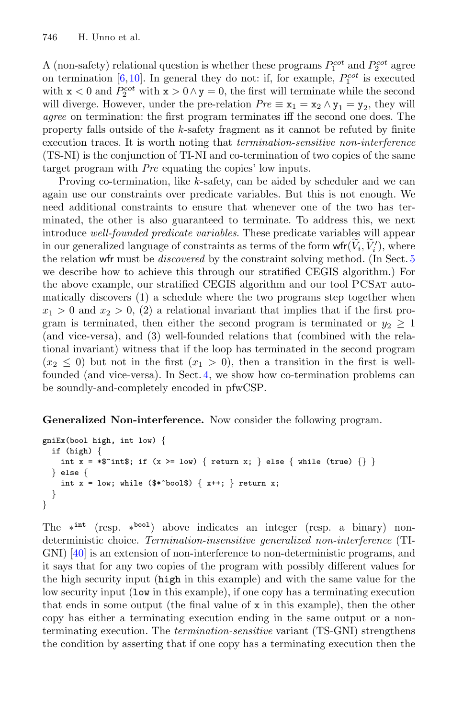A (non-safety) relational question is whether these programs  $P_1^{cot}$  and  $P_2^{cot}$  agree on termination [\[6](#page-21-0),[10\]](#page-21-1). In general they do not: if, for example,  $P_1^{cot}$  is executed with  $x < 0$  and  $P_2^{cot}$  with  $x > 0 \wedge y = 0$ , the first will terminate while the second will diverge. However, under the pre-relation  $Pre \equiv x_1 = x_2 \wedge y_1 = y_2$ , they will *agree* on termination: the first program terminates iff the second one does. The property falls outside of the k-safety fragment as it cannot be refuted by finite execution traces. It is worth noting that *termination-sensitive non-interference* (TS-NI) is the conjunction of TI-NI and co-termination of two copies of the same target program with *Pre* equating the copies' low inputs.

Proving co-termination, like k-safety, can be aided by scheduler and we can again use our constraints over predicate variables. But this is not enough. We need additional constraints to ensure that whenever one of the two has terminated, the other is also guaranteed to terminate. To address this, we next introduce *well-founded predicate variables*. These predicate variables will appear Froving co-termination, like *k*-satety, can be aided by scheduler an again use our constraints over predicate variables. But this is not enced additional constraints to ensure that whenever one of the two minated, the ot  $\binom{r}{i}$ , where the relation wfr must be *discovered* by the constraint solving method. (In Sect. [5](#page-13-0) we describe how to achieve this through our stratified CEGIS algorithm.) For the above example, our stratified CEGIS algorithm and our tool PCSat automatically discovers (1) a schedule where the two programs step together when  $x_1 > 0$  and  $x_2 > 0$ , (2) a relational invariant that implies that if the first program is terminated, then either the second program is terminated or  $y_2 \geq 1$ (and vice-versa), and (3) well-founded relations that (combined with the relational invariant) witness that if the loop has terminated in the second program  $(x_2 \leq 0)$  but not in the first  $(x_1 > 0)$ , then a transition in the first is wellfounded (and vice-versa). In Sect. [4,](#page-8-0) we show how co-termination problems can be soundly-and-completely encoded in pfwCSP.

<span id="page-4-0"></span>**Generalized Non-interference.** Now consider the following program.

```
gniEx(bool high, int low) {
  if (high) {
    int x = *$^int$; if (x >= low) { return x; } else { while (true) {} }
  } else {
    int x = \text{low}; while ($*^* \text{bool$}) \{ x++, \} return x;
  }
}
```
The ∗int (resp. ∗bool) above indicates an integer (resp. a binary) nondeterministic choice. *Termination-insensitive generalized non-interference* (TI-GNI) [\[40\]](#page-22-0) is an extension of non-interference to non-deterministic programs, and it says that for any two copies of the program with possibly different values for the high security input (high in this example) and with the same value for the low security input (low in this example), if one copy has a terminating execution that ends in some output (the final value of x in this example), then the other copy has either a terminating execution ending in the same output or a nonterminating execution. The *termination-sensitive* variant (TS-GNI) strengthens the condition by asserting that if one copy has a terminating execution then the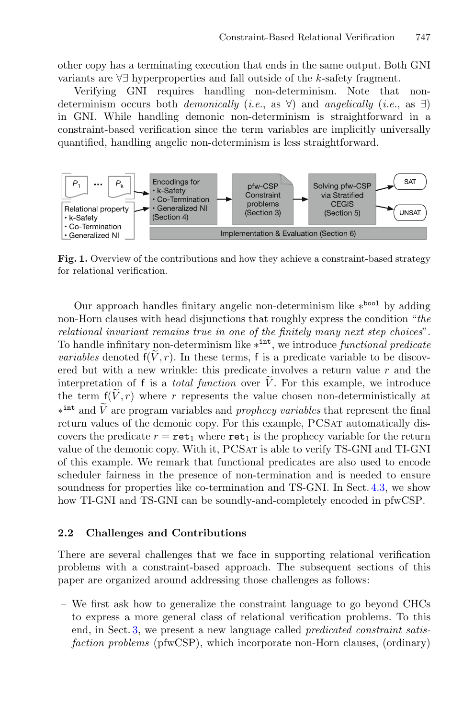other copy has a terminating execution that ends in the same output. Both GNI variants are ∀∃ hyperproperties and fall outside of the <sup>k</sup>-safety fragment.

Verifying GNI requires handling non-determinism. Note that nondeterminism occurs both *demonically* (*i.e.*, as ∀) and *angelically* (*i.e.*, as ∃) in GNI. While handling demonic non-determinism is straightforward in a constraint-based verification since the term variables are implicitly universally quantified, handling angelic non-determinism is less straightforward.



<span id="page-5-0"></span>**Fig. 1.** Overview of the contributions and how they achieve a constraint-based strategy for relational verification.

Our approach handles finitary angelic non-determinism like ∗bool by adding non-Horn clauses with head disjunctions that roughly express the condition "*the relational invariant remains true in one of the finitely many next step choices*". To handle infinitary non-determinism like ∗int, we introduce *functional predicate* Our approach handl<br>non-Horn clauses with *r*<br>*relational invariant rem*<br>To handle infinitary non<br>*variables* denoted  $f(\widetilde{V}, r)$ *variables* denoted  $f(V, r)$ . In these terms, f is a predicate variable to be discovered but with a new wrinkle: this predicate involves a return value  $r$  and the non-Horn clauses with head disjunctions that<br>*relational invariant remains true in one of th*<br>To handle infinitary non-determinism like  $*$ <sup>int</sup><br>*variables* denoted  $f(\tilde{V}, r)$ . In these terms, f is<br>ered but with a new wr interpretation of f is a *total function* over  $V$ . For this example, we introduce To handle infinitional *invariables* denoted<br>variables denoted but with  $\tilde{i}$ <br>interpretation content f( $\tilde{V}$ , r the term  $f(V,r)$  where r represents the value chosen non-deterministically at Fo nande infinitary non-determinism like  $*$ , we introduce *functional preacate* variables denoted  $f(\tilde{V}, r)$ . In these terms, f is a predicate variable to be discovered but with a new wrinkle: this predicate involves a return values of the demonic copy. For this example, PCSAT automatically discovers the predicate  $r = \text{ret}_1$  where  $\text{ret}_1$  is the prophecy variable for the return value of the demonic copy. With it, PCSAT is able to verify TS-GNI and TI-GNI of this example. We remark that functional predicates are also used to encode scheduler fairness in the presence of non-termination and is needed to ensure soundness for properties like co-termination and TS-GNI. In Sect. [4.3,](#page-11-0) we show how TI-GNI and TS-GNI can be soundly-and-completely encoded in pfwCSP.

#### **2.2 Challenges and Contributions**

There are several challenges that we face in supporting relational verification problems with a constraint-based approach. The subsequent sections of this paper are organized around addressing those challenges as follows:

– We first ask how to generalize the constraint language to go beyond CHCs to express a more general class of relational verification problems. To this end, in Sect. [3,](#page-6-0) we present a new language called *predicated constraint satisfaction problems* (pfwCSP), which incorporate non-Horn clauses, (ordinary)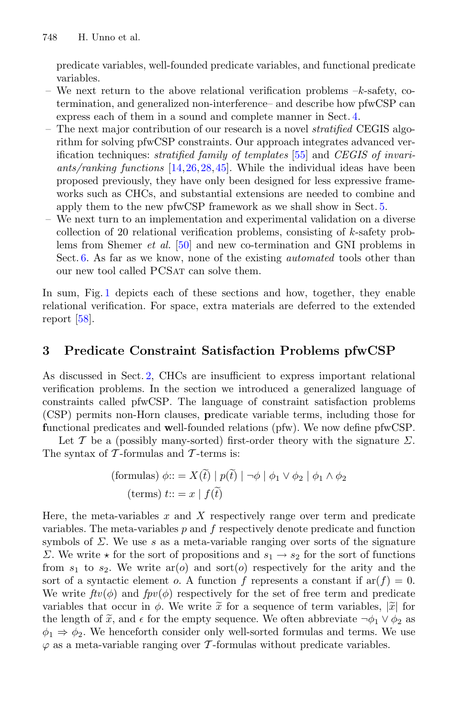predicate variables, well-founded predicate variables, and functional predicate variables.

- We next return to the above relational verification problems  $-k$ -safety, cotermination, and generalized non-interference– and describe how pfwCSP can express each of them in a sound and complete manner in Sect. [4.](#page-8-0)
- The next major contribution of our research is a novel *stratified* CEGIS algorithm for solving pfwCSP constraints. Our approach integrates advanced verification techniques: *stratified family of templates* [\[55](#page-23-8)] and *CEGIS of invariants/ranking functions* [\[14,](#page-21-7)[26](#page-22-9)[,28](#page-22-10),[45\]](#page-23-13). While the individual ideas have been proposed previously, they have only been designed for less expressive frameworks such as CHCs, and substantial extensions are needed to combine and apply them to the new pfwCSP framework as we shall show in Sect. [5.](#page-13-0)
- We next turn to an implementation and experimental validation on a diverse collection of 20 relational verification problems, consisting of  $k$ -safety problems from Shemer *et al.* [\[50](#page-23-3)] and new co-termination and GNI problems in Sect. [6.](#page-17-0) As far as we know, none of the existing *automated* tools other than our new tool called PCSAT can solve them.

In sum, Fig. [1](#page-5-0) depicts each of these sections and how, together, they enable relational verification. For space, extra materials are deferred to the extended report [\[58](#page-23-6)].

# <span id="page-6-0"></span>**3 Predicate Constraint Satisfaction Problems pfwCSP**

As discussed in Sect. [2,](#page-2-0) CHCs are insufficient to express important relational verification problems. In the section we introduced a generalized language of constraints called pfwCSP. The language of constraint satisfaction problems (CSP) permits non-Horn clauses, **p**redicate variable terms, including those for **f**unctional predicates and **w**ell-founded relations (pfw). We now define pfwCSP.

Let T be a (possibly many-sorted) first-order theory with the signature  $\Sigma$ .<br>
Explores a (possibly many-sorted) first-order theory with the signature  $\Sigma$ .<br>
Subset of T-formulas and T-terms is:<br>
(formulas)  $\phi ::= X(\tilde{t}) | p(\$ The syntax of  $\mathcal T$ -formulas and  $\mathcal T$ -terms is: (formulas) formulas) predictions<br>(formulas) many-sorted) find the control of the control of the control of<br>T-formulas and T-terms is<br>(formulas)  $\phi ::= X(\tilde{t}) | p(\tilde{t})$ 

$$
\text{(formulas)} \ \phi ::= X(\tilde{t}) \mid p(\tilde{t}) \mid \neg \phi \mid \phi_1 \lor \phi_2 \mid \phi_1 \land \phi_2
$$
\n
$$
\text{(terms)} \ t ::= x \mid f(\tilde{t})
$$

Here, the meta-variables  $x$  and  $X$  respectively range over term and predicate variables. The meta-variables  $p$  and  $f$  respectively denote predicate and function symbols of  $\Sigma$ . We use s as a meta-variable ranging over sorts of the signature Symbols of  $Z$ . We use *s* as a meta-variable ranging over sorts of the signature  $Σ$ . We write  $★$  for the sort of propositions and  $s_1 \rightarrow s_2$  for the sort of functions from  $s_1$  to  $s_2$ . We write  $ar(o)$  and sort $(o)$  from  $s_1$  to  $s_2$ . We write  $ar(o)$  and sort $(o)$  respectively for the arity and the sort of a syntactic element o. A function f represents a constant if  $ar(f) = 0$ . We write  $ftv(\phi)$  and  $fpv(\phi)$  respectively for the set of free term and predicate variables that occur in  $\phi$ . We write  $\tilde{x}$  for a sequence of term variables,  $|\tilde{x}|$  for 2. We write  $\star$ <br>from  $s_1$  to  $s_2$ .<br>sort of a synta<br>We write  $ftv(\phi)$ <br>variables that<br>the length of  $\tilde{x}$ the length of  $\tilde{x}$ , and  $\epsilon$  for the empty sequence. We often abbreviate  $\neg \phi_1 \lor \phi_2$  as  $\phi_1 \Rightarrow \phi_2$ . We henceforth consider only well-sorted formulas and terms. We use  $\varphi$  as a meta-variable ranging over T-formulas without predicate variables.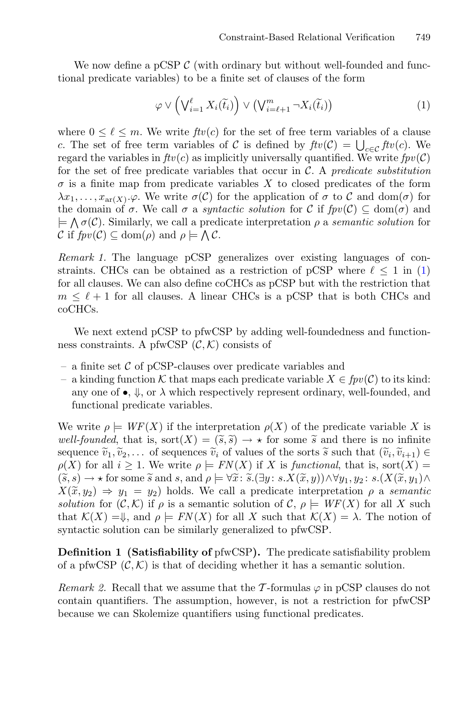We now define a pCSP  $\mathcal{C}$  (with ordinary but without well-founded and functional predicate variables) to be a finite set of clauses of the form Constraint-Based Relat:<br>
(with ordinary but without<br>
b be a finite set of clauses of<br>  $\ell_{i=1}$   $X_i(\tilde{t}_i)$   $\vee$   $(\bigvee_{i=\ell+1}^{m} \neg X_i(\tilde{t}_i))$ 

<span id="page-7-0"></span>
$$
\varphi \vee \left(\bigvee_{i=1}^{\ell} X_i(\widetilde{t}_i)\right) \vee \left(\bigvee_{i=\ell+1}^{m} \neg X_i(\widetilde{t}_i)\right) \tag{1}
$$

where  $0 \leq \ell \leq m$ . We write  $ftv(c)$  for the set of free term variables of a clause tional predicate variables) to be a finite set of clauses of the form<br>  $\varphi \vee (\bigvee_{i=1}^{\ell} X_i(\tilde{t}_i)) \vee (\bigvee_{i=\ell+1}^{m} \neg X_i(\tilde{t}_i))$ <br>
where  $0 \leq \ell \leq m$ . We write  $ftv(c)$  for the set of free term variab<br>
c. The set of free c. The set of free term variables of C is defined by  $f(v(\mathcal{C})) = \bigcup_{c \in \mathcal{C}} f(v(c))$ . We regard the variables in  $ftv(c)$  as implicitly universally quantified. We write  $fpv(\mathcal{C})$ for the set of free predicate variables that occur in C. A *predicate substitution*  $\sigma$  is a finite map from predicate variables X to closed predicates of the form  $\lambda x_1, \ldots, x_{\text{ar}(X)}$ . $\varphi$ . We write  $\sigma(\mathcal{C})$  for the application of  $\sigma$  to  $\mathcal{C}$  and dom $(\sigma)$  for the domain of  $\sigma$ . We call  $\sigma$  a *syntactic solution* for C if  $fpv(\mathcal{C}) \subseteq \text{dom}(\sigma)$  and  $\models \bigwedge \sigma(\mathcal{C})$ . Similarly, we call a predicate interpretation  $\rho$  a *semantic solution* for regard the variables in  $ftv(c)$  as implicitly universally quantified. We write  $fpv(C)$  for the set of free predicate variables that occur in C. A *predicate substitution*  $\sigma$  is a finite map from predicate variables X to for the set of free predicate variab  $\sigma$  is a finite map from predicate  $\lambda x_1, \ldots, x_{ar(X)} \cdot \varphi$ . We write  $\sigma(C)$  f<br>the domain of  $\sigma$ . We call  $\sigma$  a *synt*  $\models \bigwedge \sigma(C)$ . Similarly, we call a pred<br> $C$  if  $fpv(C) \subseteq \text{dom}(\rho)$  a

*Remark 1.* The language pCSP generalizes over existing languages of constraints. CHCs can be obtained as a restriction of pCSP where  $\ell \leq 1$  in [\(1\)](#page-7-0) for all clauses. We can also define coCHCs as pCSP but with the restriction that  $m \leq \ell + 1$  for all clauses. A linear CHCs is a pCSP that is both CHCs and coCHCs.

We next extend pCSP to pfwCSP by adding well-foundedness and functionness constraints. A pfwCSP  $(C, K)$  consists of

- a finite set  $\mathcal C$  of pCSP-clauses over predicate variables and
- a kinding function <sup>K</sup> that maps each predicate variable <sup>X</sup> <sup>∈</sup> *fpv*(C) to its kind: any one of  $\bullet$ ,  $\Downarrow$ , or  $\lambda$  which respectively represent ordinary, well-founded, and functional predicate variables. *a* kinding function  $K$  that maps each predicate variable  $X \in fpv(\mathcal{C})$  to its kind:<br>any one of  $\bullet$ ,  $\Downarrow$ , or  $\lambda$  which respectively represent ordinary, well-founded, and<br>functional predicate variables.<br>We write  $\rho \models$ eacl $\text{ecti} \ \widetilde{s}. \widetilde{s}$

We write  $\rho \models WF(X)$  if the interpretation  $\rho(X)$  of the predicate variable X is any one of  $\bullet$ ,  $\Downarrow$ , or  $\lambda$  which respectively represent ordinary, well-founde<br>functional predicate variables.<br>We write  $\rho \models WF(X)$  if the interpretation  $\rho(X)$  of the predicate variabl<br>well-founded, that is, sort $(X) = (\til$ sequence  $\tilde{v}_1, \tilde{v}_2, \ldots$  of sequences  $\tilde{v}_i$  of values of the sorts  $\tilde{s}$  such that  $(\tilde{v}_i, \tilde{v}_{i+1}) \in$  $\rho(X)$  for all  $i \geq 1$ . We write  $\rho \models FN(X)$  if X is *functional*, that is, sort $(X)$  = We write  $\rho \models WF(X)$  if the interpretation  $\rho(X)$  of the predicate variable X is *well-founded*, that is, sort $(X) = (\tilde{s}, \tilde{s}) \rightarrow \star$  for some  $\tilde{s}$  and there is no infinite sequence  $\tilde{v}_1, \tilde{v}_2, \ldots$  of sequences  $\tilde{v}_$ we wild-<br>
well-fo<br>
sequen<br>  $\rho(X)$  f<br>  $(\widetilde{s}, s)$  -<br>  $X(\widetilde{x}, y)$  $X(\tilde{x}, y_2) \Rightarrow y_1 = y_2$ ) holds. We call a predicate interpretation  $\rho$  a *semantic solution* for  $(C, K)$  if  $\rho$  is a semantic solution of C,  $\rho \models WF(X)$  for all X such that  $\mathcal{K}(X) = \mathcal{F}$ , and  $\rho \models FN(X)$  for all X such that  $\mathcal{K}(X) = \lambda$ . The notion of syntactic solution can be similarly generalized to pfwCSP.

<span id="page-7-1"></span>**Definition 1 (Satisfiability of** pfwCSP**).** The predicate satisfiability problem of a pfwCSP  $(C, K)$  is that of deciding whether it has a semantic solution.

*Remark 2.* Recall that we assume that the T-formulas  $\varphi$  in pCSP clauses do not contain quantifiers. The assumption, however, is not a restriction for pfwCSP because we can Skolemize quantifiers using functional predicates.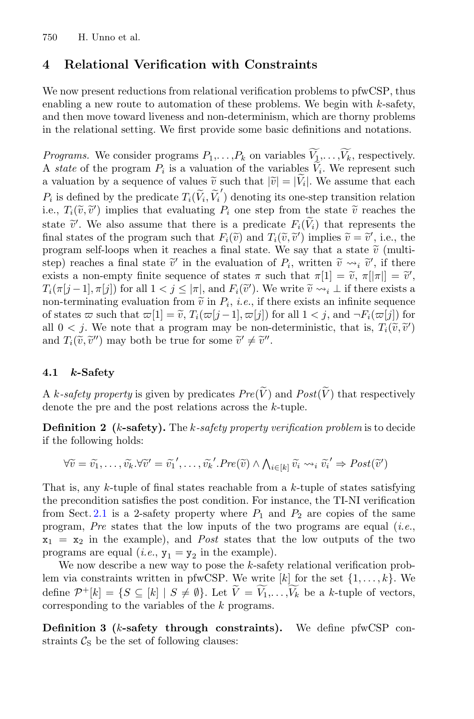# <span id="page-8-0"></span>**4 Relational Verification with Constraints**

We now present reductions from relational verification problems to pfwCSP, thus enabling a new route to automation of these problems. We begin with  $k$ -safety, and then move toward liveness and non-determinism, which are thorny problems in the relational setting. We first provide some basic definitions and notations. enabling a new route to automation of these problems. We<br>and then move toward liveness and non-determinism, which<br>in the relational setting. We first provide some basic definit<br>*Programs*. We consider programs  $P_1, \ldots, P_k$ 

*Programs.* We consider programs  $P_1, \ldots, P_k$  on variables  $V_1, \ldots, V_k$ , respectively. A state of the program  $P_i$  is a valuation of the variables  $V_i$ . We represent such and then move toward liveness and non-determinism, wr<br>in the relational setting. We first provide some basic de<br>*Programs*. We consider programs  $P_1, \ldots, P_k$  on variables<br>A *state* of the program  $P_i$  is a valuation of th a valuation by a sequence of values  $\tilde{v}$  such that  $|\tilde{v}| = |V_i|$ . We assume that each *Programs.* We consider programs  $P_1$ ,<br>A state of the program  $P_i$  is a valuat<br>a valuation by a sequence of values  $\tilde{v}$ <br> $P_i$  is defined by the predicate  $T_i(\tilde{V}_i, \tilde{V}_i)$  $\tilde{t}_i^{\prime}$ ) denoting its one-step transition relation *Programs.* We consider programs  $P_1, \ldots, P_k$  on variables  $\widetilde{V}_1, \ldots, \widetilde{V}_k$ , A *state* of the program  $P_i$  is a valuation of the variables  $\widetilde{V}_i$ . We re a valuation by a sequence of values  $\widetilde{v}$  such that i.e.,  $T_i(\tilde{v}, \tilde{v}')$  implies that evaluating  $P_i$  one step from the state  $\tilde{v}$  reaches the state  $\tilde{v}'$ . We also assume that there is a predicate  $F_i(\tilde{V}_i)$  that represents the final states of the program such t A *state* of the program  $P_i$  is a valuation of the variables<br>a valuation by a sequence of values  $\tilde{v}$  such that  $|\tilde{v}| = |\tilde{V}_i|$ .<br> $P_i$  is defined by the predicate  $T_i(\tilde{V}_i, \tilde{V}_i')$  denoting its one-<br>i.e.,  $T_i(\tilde{$ i.e.,  $T_i(\sigma, \sigma)$  implies that evaluating  $T_i$  one step from the state  $\sigma$  reaches the<br>state  $\tilde{v}'$ . We also assume that there is a predicate  $F_i(\tilde{V}_i)$  that represents the<br>final states of the program such that  $F_i(\tilde$ a valuation by a sequence of values  $\tilde{v}$  such that  $|\tilde{v}| = |\tilde{V}_i|$ . We assume  $P_i$  is defined by the predicate  $T_i(\tilde{V}_i, \tilde{V}'_i)$  denoting its one-step transitio<br>i.e.,  $T_i(\tilde{v}, \tilde{v}')$  implies that evaluating  $P_i$ ) implies  $\tilde{v} = \tilde{v}'$ , i.e., the  $P_i$  is defined by the predicate  $T_i(\widetilde{V}_i, \widetilde{V}_i')$  denoting its one-step transition<br>i.e.,  $T_i(\widetilde{v}, \widetilde{v}')$  implies that evaluating  $P_i$  one step from the state  $\widetilde{v}$  reachers a state  $\widetilde{v}'$ . We also assume t program self-loops when it reaches a final state. We say that a state  $\tilde{v}$  (multi- $\widetilde{v} \leadsto_i \widetilde{v}'$ , if there i v-΄, final states of the program such that  $F_i(\tilde{v})$  and  $T_i(\tilde{v}, \tilde{v}')$  is<br>final states of the program such that  $F_i(\tilde{v})$  and  $T_i(\tilde{v}, \tilde{v}')$  is<br>program self-loops when it reaches a final state. We say<br>step) reaches a fi ). We write  $\widetilde{v} \rightsquigarrow_i \perp$  if there exists a mar states of the program such that  $P_i(\sigma)$  and  $P_i(\sigma)$  implies  $\tilde{v} = \tilde{v}$ , i.e., the<br>program self-loops when it reaches a final state. We say that a state  $\tilde{v}$  (multi-<br>step) reaches a final state  $\tilde{v}'$  in the program sen-loops when it restep) reaches a final state  $\tilde{v}'$ <br>exists a non-empty finite sequently finite sequently finite sequently for all  $1 < j \le$ <br>non-terminating evaluation from of states  $\varpi$  such that  $\varpi[1] = \tilde{$ of states  $\varpi$  such that  $\varpi[1] = \tilde{v}$ ,  $T_i(\varpi[j-1], \varpi[j])$  for all  $1 < j$ , and  $\neg F_i(\varpi[j])$  for seep) reaches a mial state  $v$  in the evaluation of  $Y_i$ , written  $v \rightsquigarrow_i v$ , if there exists a non-empty finite sequence of states  $\pi$  such that  $\pi[1] = \tilde{v}$ ,  $\pi[|\pi|] = \tilde{i}$   $T_i(\pi[j-1], \pi[j])$  for all  $1 < j \le |\pi|$ , and  $F_i$  )  $T_i(\pi[j-1], \pi[j])$  for all  $1 < j \le |\pi|$ , and  $F_i(\tilde{v}')$ .<br>
non-terminating evaluation from  $\tilde{v}$  in  $P_i$ , *i.e.*, if<br>
of states  $\varpi$  such that  $\varpi[1] = \tilde{v}$ ,  $T_i(\varpi[j-1], \varpi[j])$ <br>
all  $0 < j$ . We note that a program may be non<br> and  $T_i(\tilde{v}, \tilde{v}'')$  may both be true for some  $\tilde{v}' \neq \tilde{v}''$ . A k-safety property is given by predicates  $Pre(\tilde{V})$  and  $Pos(t(\tilde{V}))$  that respectively<br>
A k-safety property is given by predicates  $Pre(\tilde{V})$  and  $Post(\tilde{V})$  that respectively

## **4.1** *k***-Safety**

*A k-safety property* is given by predicates  $Pre(V)$  and  $Pre$ <br>denote the pre and the post relations across the k-tuple.<br>**Definition 2** (*k*-safety). The *k-safety property verificat*<br>if the following holds:<br> $\forall \widetilde{v} = \widetilde{v$ **Definition 2 (**k**-safety).** The k*-safety property verification problem* is to decide if the following holds: te<br>ni∘<br>∀ $\widetilde{v}$ i v $\frac{1}{i}$  $\nonumber$ *Problem* is to<br>  $\prime \Rightarrow Post(\widetilde{v})$ 

$$
\forall \widetilde{v} = \widetilde{v_1}, \dots, \widetilde{v_k}.\forall \widetilde{v}' = \widetilde{v_1}', \dots, \widetilde{v_k}'.Pre(\widetilde{v}) \wedge \bigwedge_{i \in [k]} \widetilde{v_i} \leadsto_i \widetilde{v_i}' \Rightarrow Post(\widetilde{v}')
$$

That is, any k-tuple of final states reachable from a  $k$ -tuple of states satisfying the precondition satisfies the post condition. For instance, the TI-NI verification from Sect. [2.1](#page-2-1) is a 2-safety property where  $P_1$  and  $P_2$  are copies of the same program, *Pre* states that the low inputs of the two programs are equal (*i.e.*,  $x_1 = x_2$  in the example), and *Post* states that the low outputs of the two programs are equal (*i.e.*,  $y_1 = y_2$  in the example).

We now describe a new way to pose the  $k$ -safety relational verification problem via constraints written in pfwCSP. We write  $[k]$  for the set  $\{1,\ldots,k\}$ . We program, *Pre* states that the low inputs of the two programs are equal (*i.e.*,  $\mathbf{x}_1 = \mathbf{x}_2$  in the example), and *Post* states that the low outputs of the two programs are equal (*i.e.*,  $\mathbf{y}_1 = \mathbf{y}_2$  in the exam corresponding to the variables of the k programs.

<span id="page-8-1"></span>**Definition 3 (**k**-safety through constraints).** We define pfwCSP constraints  $\mathcal{C}_{S}$  be the set of following clauses: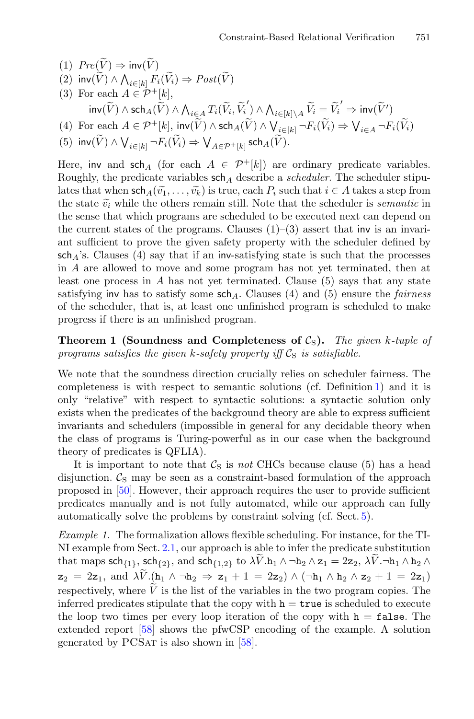- (1)  $Pre(\widetilde{V}) \Rightarrow inv(\widetilde{V})$
- (1)  $Pre(\widetilde{V}) \Rightarrow inv(\widetilde{V})$ <br>
(2)  $inv(\widetilde{V}) \land \bigwedge_{i \in [k]} F_i(\widetilde{V}_i) \Rightarrow Post(\widetilde{V})$
- (3) For each  $A \in \mathcal{P}^+[k]$ ,  $\begin{split} &\textit{re}(\widetilde{V}) \Rightarrow \mathsf{inv}(\widetilde{V}) \ &\textit{if}(\widetilde{V}) \land \bigwedge_{i \in [k]} F_i(\widetilde{V}_i) \Rightarrow \mathit{Post}(\widetilde{V}) \ &\text{if}(\widetilde{V}) \land \mathit{Set}_A(\widetilde{V}) \land \bigwedge_{i \in \mathcal{A}} T_i(\widetilde{V}_i) \end{split}$  $(\tilde{i}, \tilde{V}_i)$ ) ∧  $\bigwedge_{i \in [k] \setminus A} \widetilde{V}_i = \widetilde{V}_i'$  $\Rightarrow$  inv $(\widetilde{V}')$ (1)  $Pre(V) \Rightarrow inv(V)$ <br>
(2)  $inv(\widetilde{V}) \wedge \bigwedge_{i \in [k]} F_i(\widetilde{V}_i) \Rightarrow F$ <br>
(3) For each  $A \in \mathcal{P}^+[k]$ ,<br>  $inv(\widetilde{V}) \wedge sch_A(\widetilde{V}) \wedge \bigwedge_{i \in \mathcal{P}^+}[k]$ ,  $inv(\widetilde{V})$  $\begin{split} & cost(\widetilde{V}) \ & \sum_{\mathbf{1}} T_i(\widetilde{V}_i, \widetilde{V}_i') \wedge \bigwedge_{i \in [k] \setminus A} \widetilde{V}_i = \widetilde{V}_i' \Rightarrow \\ & ) \wedge \operatorname{sch}_A(\widetilde{V}) \wedge \bigvee_{i \in [k]} \neg F_i(\widetilde{V}_i) \Rightarrow \bigvee \end{split}$  $\text{inv}(\widetilde{V}')$ <br> $_{i\in A} \neg F_i(\widetilde{V}_i)$ (2)  $\text{inv}(V) \wedge \bigwedge_{i \in [k]} F_i(V_i) \Rightarrow Post(V)$ <br>
(3) For each  $A \in \mathcal{P}^+[k]$ ,<br>  $\text{inv}(\widetilde{V}) \wedge \text{sch}_A(\widetilde{V}) \wedge \bigwedge_{i \in A} T_i(\widetilde{V}_i, \widetilde{V}_i') \wedge \bigwedge_{i \in [k]}$ <br>
(4) For each  $A \in \mathcal{P}^+[k]$ ,  $\text{inv}(\widetilde{V}) \wedge \text{sch}_A(\widetilde{V}) \wedge \bigvee_{i \in [k$  $(\widetilde{V}) \wedge \bigwedge_{i \in [k]} F_i(\widetilde{V}_i) \Rightarrow Post(\widetilde{V})$ <br>
ach  $A \in \mathcal{P}^+[k],$ <br>  $(\widetilde{V}) \wedge \operatorname{sch}_A(\widetilde{V}) \wedge \bigwedge_{i \in A} T_i(\widetilde{V}_i, \widetilde{V}_i') \wedge \bigwedge_{i \in A}$ <br>
ach  $A \in \mathcal{P}^+[k], \text{ inv}(\widetilde{V}) \wedge \operatorname{sch}_A(\widetilde{V}) \wedge \bigvee_i$ <br>  $) \wedge \bigvee_{i \in [k]} \neg F_i(\wid$
- 
- 

Here, inv and sch<sub>A</sub> (for each  $A \in \mathcal{P}^+[k]$ ) are ordinary predicate variables. Roughly, the predicate variables  $\operatorname{sch}_A$  describe a *scheduler*. The scheduler stipu-(4) Totach  $A \subset Y$   $[n]$ ,  $m \vee (x)$ <br>
(5)  $inv(\widetilde{V}) \wedge \bigvee_{i \in [k]} \neg F_i(\widetilde{V}_i) \Rightarrow$ <br>
Here, inv and sch<sub>A</sub> (for each<br>
Roughly, the predicate variabl<br>
lates that when sch<sub>A</sub>( $\widetilde{v_1}, \ldots, \widetilde{v_k}$  $\widetilde{k}_k$ ) is true, each  $P_i$  such that  $i \in A$  takes a step from (5)  $inv(V)$ <br>Here,  $inv$  a<br>Roughly, the state v-<br>the state  $\tilde{v}_i$ the state  $\tilde{v}_i$  while the others remain still. Note that the scheduler is *semantic* in the sense that which programs are scheduled to be executed next can depend on the current states of the programs. Clauses  $(1)-(3)$  assert that inv is an invariant sufficient to prove the given safety property with the scheduler defined by  $\mathsf{sch}_A$ 's. Clauses (4) say that if an inv-satisfying state is such that the processes in A are allowed to move and some program has not yet terminated, then at least one process in  $A$  has not yet terminated. Clause  $(5)$  says that any state satisfying inv has to satisfy some  $\operatorname{sch}_A$ . Clauses (4) and (5) ensure the *fairness* of the scheduler, that is, at least one unfinished program is scheduled to make progress if there is an unfinished program.

<span id="page-9-0"></span>**Theorem 1 (Soundness and Completeness of**  $C_S$ ). The given k-tuple of *programs satisfies the given*  $k$ -safety property iff  $\mathcal{C}_S$  is satisfiable.

We note that the soundness direction crucially relies on scheduler fairness. The completeness is with respect to semantic solutions (cf. Definition [1\)](#page-7-1) and it is only "relative" with respect to syntactic solutions: a syntactic solution only exists when the predicates of the background theory are able to express sufficient invariants and schedulers (impossible in general for any decidable theory when the class of programs is Turing-powerful as in our case when the background theory of predicates is QFLIA).

It is important to note that  $C<sub>S</sub>$  is *not* CHCs because clause (5) has a head disjunction.  $\mathcal{C}_{S}$  may be seen as a constraint-based formulation of the approach proposed in [\[50](#page-23-3)]. However, their approach requires the user to provide sufficient predicates manually and is not fully automated, while our approach can fully automatically solve the problems by constraint solving (cf. Sect. [5\)](#page-13-0).

<span id="page-9-1"></span>*Example 1.* The formalization allows flexible scheduling. For instance, for the TI-NI example from Sect. [2.1,](#page-2-1) our approach is able to infer the predicate substitution predicates manually and is not fully automated, while our approach can fully automatically solve the problems by constraint solving (cf. Sect. 5).<br> *Example 1*. The formalization allows flexible scheduling. For instance, automatically solve<br>*Example 1*. The form<br>NI example from Sec<br>that maps  $sch_{\{1\}}$ , sc<br> $z_2 = 2z_1$ , and  $\lambda \tilde{V}$ .  $z_2 = 2z_1$ , and  $\lambda \widetilde{V}$ .  $(h_1 \wedge \neg h_2 \Rightarrow z_1 + 1 = 2z_2) \wedge (\neg h_1 \wedge h_2 \wedge z_2 + 1 = 2z_1)$ *Example 1.* The form<br>NI example from Sect<br>that maps  $sch_{\{1\}}$ , sch<br> $z_2 = 2z_1$ , and  $\lambda \tilde{V}$ .<br>respectively, where  $\tilde{V}$ respectively, where  $\tilde{V}$  is the list of the variables in the two program copies. The inferred predicates stipulate that the copy with  $h = \text{true}$  is scheduled to execute the loop two times per every loop iteration of the copy with  $h = false$ . The extended report [\[58](#page-23-6)] shows the pfwCSP encoding of the example. A solution generated by PCSAT is also shown in  $[58]$  $[58]$ .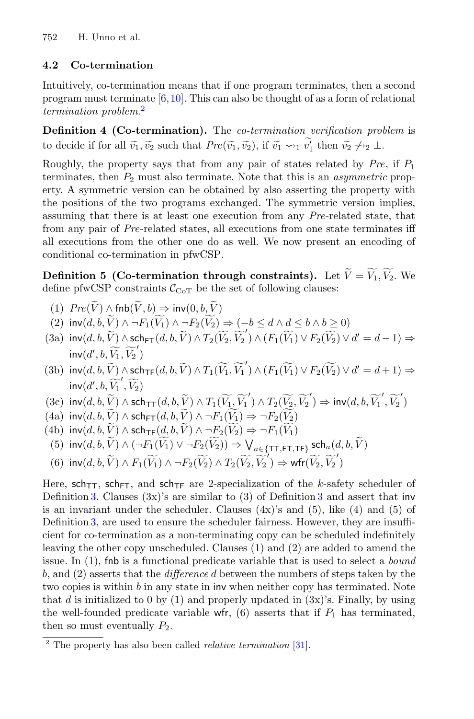## **4.2 Co-termination**

Intuitively, co-termination means that if one program terminates, then a second program must terminate [\[6](#page-21-0),[10\]](#page-21-1). This can also be thought of as a form of relational *termination problem*. [2](#page-10-0) Intuitively, co-termination means that if one program terminates, then a<br>program must terminate [6,10]. This can also be thought of as a form of relation problem.<sup>2</sup><br>**Definition 4 (Co-termination).** The *co-termination ve* 

**Definition 4 (Co-termination).** The *co-termination verification problem* is

Roughly, the property says that from any pair of states related by *Pre*, if P<sup>1</sup> terminates, then  $P_2$  must also terminate. Note that this is an *asymmetric* property. A symmetric version can be obtained by also asserting the property with the positions of the two programs exchanged. The symmetric version implies, assuming that there is at least one execution from any *Pre*-related state, that from any pair of *Pre*-related states, all executions from one state terminates iff all executions from the other one do as well. We now present an encoding of conditional co-termination in pfwCSP. assuming that there is at least one execution from any *Pre*-related state, that<br>from any pair of *Pre*-related states, all executions from one state terminates iff<br>all executions from the other one do as well. We now pre

<span id="page-10-1"></span>define pfwCSP constraints  $C_{\text{CoT}}$  be the set of following clauses: fractuation in the other one dependitional co-termination in pfwCSI<br> **Pefinition 5 (Co-termination therefore only the pfwCSP** constraints  $C_{\text{CoT}}$  be the pfwCSP constraints  $C_{\text{CoT}}$  be the pfwCSP constraints  $\mathcal{C}_{\text$ **Definition 5**<br>
efine pfwCSP<br>
(1)  $Pre(\widetilde{V}) \wedge$ <br>
(2)  $inv(d, b, \widetilde{V})$ **Definition 5 (Co-termination through constraints).** Let  $V = V_1, V_2$ . We<br>
define pfwCSP constraints  $C_{\text{CoT}}$  be the set of following clauses:<br>
(1)  $Pre(\widetilde{V}) \wedge fh\flat(\widetilde{V}, b) \Rightarrow inv(0, b, \widetilde{V})$ <br>
(2)  $inv(d, b, \widetilde{V}) \wedge \neg F_1(\widetilde{$ **ough constraints).** Le

- $\left( \begin{array}{c} 1 \end{array} \right)$
- $(\widetilde{V}) \wedge \neg F_1(\widetilde{V_1}) \wedge \neg F_2(\widetilde{V_2}) \Rightarrow (-b \leq d \wedge d \leq b \wedge b \geq 0)$
- inv $(d',b,\widetilde{V_1},\widetilde{V_2}')$ (1)  $Pre(V) \wedge fhb(V, b) \Rightarrow inv(2) inv(d, b, \widetilde{V}) \wedge \neg F_1(\widetilde{V}_1) \wedge \neg F_2(\widetilde{V}_2)$ <br>
(3a)  $inv(d, b, \widetilde{V}) \wedge sch_{FT}(d, b, \widetilde{V})$ <br>  $inv(d', b, \widetilde{V}_1, \widetilde{V}_2)$ <br>
(3b)  $inv(d, b, \widetilde{V}) \wedge sch_{TF}(d, b, \widetilde{V})$  $V_2, V_2$ )  $\wedge$   $(F_1(V_1) \vee F_2(V_2) \vee d' = d-1)$
- $) \wedge T_1(\widetilde{V_1}, \widetilde{V_1}') \wedge (F_1(\widetilde{V_1}) \vee F_2(\widetilde{V_2}) \vee d' = d+1) \Rightarrow$ inv $(d',b,\widetilde{V_1}',\widetilde{V_2})$ (3a)  $\text{inv}(d, b, V) \wedge \text{sch}_{\text{FT}}(d, b, V) \wedge T_2(V_2, V_2) \wedge (F_1(V_1) \vee F_2(V_2) \vee d' = d - 1) =$ <br>  $\text{inv}(d', b, \widetilde{V}_1, \widetilde{V}_2')$ <br>
(3b)  $\text{inv}(d, b, \widetilde{V}) \wedge \text{sch}_{\text{TF}}(d, b, \widetilde{V}) \wedge T_1(\widetilde{V}_1, \widetilde{V}_1') \wedge (F_1(\widetilde{V}_1) \vee F_2(\widetilde{V}_2) \$ (3b)  $inv(d', b, V_1, V_2)$ <br>
(3b)  $inv(d, b, \widetilde{V}) \wedge sch_{TF}(d, b, \widetilde{V})$ <br>  $inv(d', b, \widetilde{V}_1', \widetilde{V}_2)$ <br>
(3c)  $inv(d, b, \widetilde{V}) \wedge sch_{TT}(d, b, \widetilde{V})$ <br>
(4a)  $inv(d, b, \widetilde{V}) \wedge sch_{FT}(d, b, \widetilde{V})$ (3b)  $inv(d, b, \tilde{V}) \wedge sch_{TF}(d, b, \tilde{V})$ <br>  $inv(d', b, \widetilde{V}_1', \widetilde{V}_2)$ <br>
(3c)  $inv(d, b, \tilde{V}) \wedge sch_{TT}(d, b, \tilde{V})$ <br>
(4a)  $inv(d, b, \tilde{V}) \wedge sch_{FT}(d, b, \tilde{V})$ <br>
(4b)  $inv(d, b, \tilde{V}) \wedge sch_{TF}(d, b, \tilde{V})$  $,V_1) \wedge (F_1(V_1))$ (d, b,  $\widetilde{V}_1$ )  $\lambda$  schiff(d, b,  $\widetilde{V}_2$ )  $\lambda$  and  $\lambda$  inv(d, b,  $\widetilde{V}_1$ )  $\lambda$  sch<sub>1</sub><sup>T</sup>(d, b,  $\widetilde{V}_2$ )  $\lambda$  sch<sub>1</sub><sup>T</sup>(d, b,  $\widetilde{V}_1$ )  $\lambda$   $T_1(\widetilde{V}_1, \widetilde{V}_1')$   $\lambda$   $T_2(\widetilde{V}_2, \widetilde{V}_2')$   $\Rightarrow$  inv(d,
- $T_{\mathsf{T}}(d,b,V) \wedge T_1(V_1,V_1\,) \wedge T_2(V_2,V_2\, \Rightarrow \mathsf{N}$
- $) \wedge \neg F_1(\widetilde{V_1}) \Rightarrow \neg F_2(\widetilde{V_2})$
- $) \wedge \neg F_2(\widetilde{V_2}) \Rightarrow \neg F_1(\widetilde{V_1})$
- $) \wedge (\neg F_1(\widetilde{V_1}) \vee \neg F_2(\widetilde{V_2})) \Rightarrow \bigvee_{a \in \{\texttt{TT}, \texttt{FT}, \texttt{TF}\}} \textsf{sch}_a(d, b, \widetilde{V})$
- (6)  $\text{inv}(d, b, V)$ <br>
(6)  $\text{inv}(d, b, \widetilde{V})$ <br>
(5)  $\text{inv}(d, b, \widetilde{V})$ <br>
(6)  $\text{inv}(d, b, \widetilde{V})$  $) \wedge F_1(\widetilde{V_1}) \wedge \neg F_2(\widetilde{V_2}) \wedge T_2(\widetilde{V_2}, \widetilde{V_2}') \Rightarrow \text{wfr}(\widetilde{V_2}, \widetilde{V_2}')$

Here, sch<sub>TT</sub>, sch<sub>FT</sub>, and sch<sub>TF</sub> are 2-specialization of the k-safety scheduler of Definition [3.](#page-8-1) Clauses  $(3x)$  $(3x)$  $(3x)$ 's are similar to  $(3)$  of Definition 3 and assert that inv is an invariant under the scheduler. Clauses  $(4x)$ 's and  $(5)$ , like  $(4)$  and  $(5)$  of Definition [3,](#page-8-1) are used to ensure the scheduler fairness. However, they are insufficient for co-termination as a non-terminating copy can be scheduled indefinitely leaving the other copy unscheduled. Clauses (1) and (2) are added to amend the issue. In (1), fnb is a functional predicate variable that is used to select a *bound* b, and (2) asserts that the *difference* d between the numbers of steps taken by the two copies is within b in any state in inv when neither copy has terminated. Note that d is initialized to 0 by (1) and properly updated in  $(3x)$ 's. Finally, by using the well-founded predicate variable wfr,  $(6)$  asserts that if  $P_1$  has terminated, then so must eventually  $P_2$ .

<span id="page-10-0"></span><sup>2</sup> The property has also been called *relative termination* [\[31](#page-22-11)].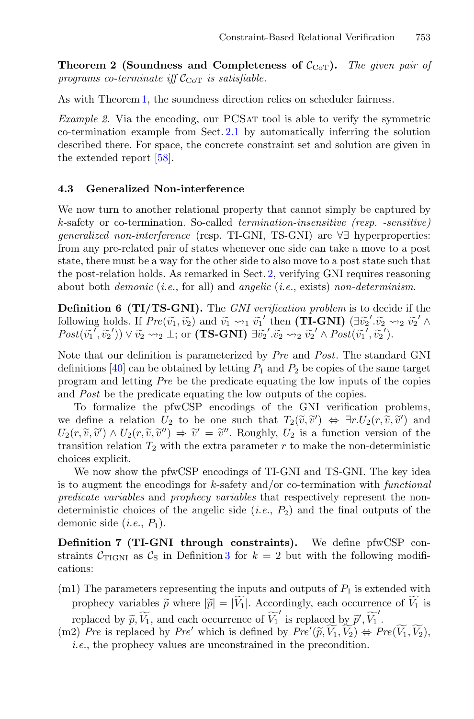**Theorem 2 (Soundness and Completeness of**  $C_{\text{CoT}}$ ). The given pair of *programs co-terminate iff*  $\mathcal{C}_{\text{Cor}}$  *is satisfiable.* 

<span id="page-11-2"></span>As with Theorem [1,](#page-9-0) the soundness direction relies on scheduler fairness.

*Example 2.* Via the encoding, our PCSAT tool is able to verify the symmetric co-termination example from Sect. [2.1](#page-3-0) by automatically inferring the solution described there. For space, the concrete constraint set and solution are given in the extended report [\[58](#page-23-6)].

#### <span id="page-11-0"></span>**4.3 Generalized Non-interference**

We now turn to another relational property that cannot simply be captured by k-safety or co-termination. So-called *termination-insensitive (resp. -sensitive) generalized non-interference* (resp. TI-GNI, TS-GNI) are ∀∃ hyperproperties: from any pre-related pair of states whenever one side can take a move to a post state, there must be a way for the other side to also move to a post state such that the post-relation holds. As remarked in Sect. [2,](#page-2-0) verifying GNI requires reasoning about both *demonic* (*i.e.*, for all) and *angelic* (*i.e.*, exists) *non-determinism*. state, there must be a way for the other side to also move to a post state such that<br>the post-relation holds. As remarked in Sect. 2, verifying GNI requires reasoning<br>about both *demonic* (*i.e.*, for all) and *angelic* ( .v-

**Definition 6 (TI/TS-GNI).** The *GNI verification problem* is to decide if the the post-relation holds. As remarked in Sect. 2, verifying GNI requals about both *demonic* (*i.e.*, for all) and *angelic* (*i.e.*, exists) *non-de*<br> **Definition 6 (TI/TS-GNI)**. The *GNI verification problem* is t<br>
follo  $(\widetilde{v_1}', \widetilde{v_2}')\rangle \vee \widetilde{v_2} \leadsto_2 \bot$ ; or  $(TS-GNI) \ \exists \widetilde{v_2}' \cdots \widetilde{v_2} \leadsto_2 \widetilde{v_2}' \wedge Post(\widetilde{v_1}', \widetilde{v_2}')$ . , v- $\frac{2}{\hat{c}}$ . (1)<br>ific<br>the  $\tilde{v}_1$  $\begin{array}{c} \mathrm{ires} \ \mathrm{terr} \ \mathrm{d} \ \mathrm{d} \ \mathrm{d} \ \mathrm{d} \ \mathrm{d} \ \mathrm{d} \ \mathrm{d} \ \mathrm{d} \ \mathrm{d} \ \mathrm{d} \ \mathrm{d} \ \mathrm{d} \ \mathrm{d} \ \mathrm{d} \ \mathrm{d} \ \mathrm{d} \ \mathrm{d} \ \mathrm{d} \ \mathrm{d} \ \mathrm{d} \ \mathrm{d} \ \mathrm{d} \ \mathrm{d} \ \mathrm{d} \ \mathrm{d} \ \mathrm{d} \ \mathrm{d} \ \mathrm{d} \ \mathrm{d} \ \mathrm{d} \ \mathrm{d} \ \mathrm{d} \ \mathrm{d} \ \mathrm$ 

Note that our definition is parameterized by *Pre* and *Post*. The standard GNI definitions [\[40\]](#page-22-0) can be obtained by letting  $P_1$  and  $P_2$  be copies of the same target<br>program and letting Pre be the predicate equating the low inputs of the copies<br>and Post be the predicate equating the low outputs of program and letting *Pre* be the predicate equating the low inputs of the copies and *Post* be the predicate equating the low outputs of the copies. definitions [40] can be obtained by letting  $P_1$  and  $P_2$  be<br>program and letting *Pre* be the predicate equating the<br>and *Post* be the predicate equating the low outputs of<br>To formalize the pfwCSP encodings of the GN<br>we *Fost.* The standard GNT<br>
copies of the same target<br>
buy inputs of the copies<br>
the copies.<br>
I verification problems,<br>  $f' \Rightarrow \exists r.U_2(r, \tilde{v}, \tilde{v}')$  and

To formalize the pfwCSP encodings of the GNI verification problems, definitions [40] can be obtained by letting  $T_1$  and  $T_2$  be copies of the same target<br>program and letting Pre be the predicate equating the low inputs of the copies<br>and Post be the predicate equating the low outputs of tions  $\begin{bmatrix} 40 \\ -10 \\ 10 \end{bmatrix}$  can be<br>am and letting *F*<br>of the prediction<br>of fine a relation<br> $\tilde{v}, \tilde{v}' \wedge U_2(r, \tilde{v}, \tilde{v})$ transition relation  $T_2$  with the extra parameter r to make the non-deterministic choices explicit.

We now show the pfwCSP encodings of TI-GNI and TS-GNI. The key idea is to augment the encodings for k-safety and/or co-termination with *functional predicate variables* and *prophecy variables* that respectively represent the nondeterministic choices of the angelic side  $(i.e., P_2)$  and the final outputs of the demonic side  $(i.e., P_1)$ .

<span id="page-11-1"></span>**Definition 7 (TI-GNI through constraints).** We define pfwCSP con straints  $C_{\text{TIGNI}}$  as  $C_{\text{S}}$  in Definition [3](#page-8-1) for  $k = 2$  but with the following modifications: finition 7 (TI-GNI through constraints). We define pfwCSP con-<br>aints  $C_{\text{TIGNI}}$  as  $C_{\text{S}}$  in Definition 3 for  $k = 2$  but with the following modifi-<br>ions:<br>1) The parameters representing the inputs and outputs of  $P_1$  i

- $(m1)$  The parameters representing the inputs and outputs of  $P_1$  is extended with The parameters representing the inputs and outputs of  $P_1$  is external prophecy variables  $\tilde{p}$  where  $|\tilde{p}| = |\tilde{V}_1|$ . Accordingly, each occurrence replaced by  $\tilde{p}, \tilde{V}_1$ , and each occurrence of  $\tilde{V}_1'$  is r uts<br>, ea<br>lac<br> $(\widetilde{p},$
- (m2) *Pre* is replaced by *Pre'* which is defined by  $Pre'(\widetilde{p}, \widetilde{V}_1, \widetilde{V}_2) \Leftrightarrow Pre(\widetilde{V}_1, \widetilde{V}_2)$ , *i.e.*, the prophecy values are unconstrained in the precondition.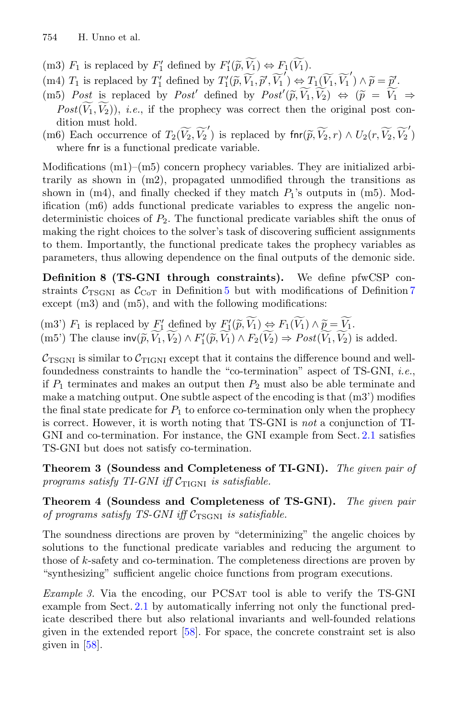- 754 H. Unno et al.<br>
(m3)  $F_1$  is replaced by  $F'_1$  defined by  $F'_1(\widetilde{p}, \widetilde{V_1}) \Leftrightarrow F_1(\widetilde{V_1})$ .
- 754 H. Unno et al.<br>
(m3)  $F_1$  is replaced by  $F'_1$  defined by  $F'_1(\tilde{p}, \widetilde{V}_1) \Leftrightarrow F_1(\widetilde{V}_1)$ .<br>
(m4)  $T_1$  is replaced by  $T'_1$  defined by  $T'_1(\tilde{p}, \widetilde{V}_1, \tilde{p}', \widetilde{V}_1') \Leftrightarrow T_1(\widetilde{V}_1, \widetilde{V}_1')$  $\wedge \widetilde{p} = \widetilde{p}'$ .  $\begin{array}{c} \mathcal{L}_1(\widehat{\mathcal{V}}) \ \mathcal{L}(\widetilde{p}, \end{array}$
- (m5) *Post* is replaced by *Post'* defined by  $Post'(\tilde{p}, \tilde{V}_1, \tilde{V}_2) \Leftrightarrow (\tilde{p} = \tilde{V}_1 \Rightarrow$  $(\widetilde{V_1}, \widetilde{V_1}') \wedge$ <br>  $(\widetilde{p}) \Leftrightarrow (\widetilde{p})$  $Post(\widetilde{V_1}, \widetilde{V_2})$ , *i.e.*, if the prophecy was correct then the original post condition must hold. ined by  $T_1'(\tilde{p}, \tilde{V}_1, \tilde{p}', \tilde{V}_1') \Leftrightarrow T_1(\tilde{V}_1, \tilde{V}_1') \wedge \tilde{p} = \tilde{p}'.$ <br> *ost'* defined by  $Post'(\tilde{p}, \tilde{V}_1, \tilde{V}_2) \Leftrightarrow (\tilde{p} = \tilde{V}_1$  is prophecy was correct then the original post correct.<br>  $\widetilde{V}_2, \widetilde{V$

(m6) Each occurrence of  $T_2(\widetilde{V_2}, \widetilde{V_2})$  is replaced by  $\text{fin}(\widetilde{p}, \widetilde{V_2}, r) \wedge U_2(r, \widetilde{V_2}, \widetilde{V_2})$ where fnr is a functional predicate variable.

Modifications (m1)–(m5) concern prophecy variables. They are initialized arbitrarily as shown in (m2), propagated unmodified through the transitions as shown in  $(m4)$ , and finally checked if they match  $P_1$ 's outputs in  $(m5)$ . Modification (m6) adds functional predicate variables to express the angelic nondeterministic choices of  $P_2$ . The functional predicate variables shift the onus of making the right choices to the solver's task of discovering sufficient assignments to them. Importantly, the functional predicate takes the prophecy variables as parameters, thus allowing dependence on the final outputs of the demonic side.

<span id="page-12-0"></span>**Definition 8 (TS-GNI through constraints).** We define pfwCSP con straints  $C_{\text{TSGNI}}$  as  $C_{\text{CoT}}$  in Definition [5](#page-10-1) but with modifications of Definition [7](#page-11-1) except  $(m3)$  and  $(m5)$ , and with the following modifications: **Definition 8 (TS-GNI through constraints).** We define p<br>straints  $C_{\text{TSGNI}}$  as  $C_{\text{CoT}}$  in Definition 5 but with modifications of<br>except (m3) and (m5), and with the following modifications:<br>(m3')  $F_1$  is replaced by **Definition 8 (TS-GNI through constraints).** We define pfwCSP of straints  $C_{TSGNI}$  as  $C_{CoT}$  in Definition 5 but with modifications of Definition except (m3) and (m5), and with the following modifications:<br>(m3')  $F_1$  i

 $C_{\text{TSGNI}}$  is similar to  $C_{\text{TIGNI}}$  except that it contains the difference bound and wellfoundedness constraints to handle the "co-termination" aspect of TS-GNI, *i.e.*, if  $P_1$  terminates and makes an output then  $P_2$  must also be able terminate and make a matching output. One subtle aspect of the encoding is that (m3') modifies the final state predicate for  $P_1$  to enforce co-termination only when the prophecy is correct. However, it is worth noting that TS-GNI is *not* a conjunction of TI-GNI and co-termination. For instance, the GNI example from Sect. [2.1](#page-4-0) satisfies TS-GNI but does not satisfy co-termination.

**Theorem 3 (Soundess and Completeness of TI-GNI).** *The given pair of programs satisfy TI-GNI iff*  $C_{\text{TIGNI}}$  *is satisfiable.* 

<span id="page-12-2"></span>**Theorem 4 (Soundess and Completeness of TS-GNI).** *The given pair of programs satisfy TS-GNI iff*  $C_{TSGNI}$  *is satisfiable.* 

The soundness directions are proven by "determinizing" the angelic choices by solutions to the functional predicate variables and reducing the argument to those of k-safety and co-termination. The completeness directions are proven by "synthesizing" sufficient angelic choice functions from program executions.

<span id="page-12-1"></span>*Example 3.* Via the encoding, our PCSAT tool is able to verify the TS-GNI example from Sect. [2.1](#page-4-0) by automatically inferring not only the functional predicate described there but also relational invariants and well-founded relations given in the extended report [\[58](#page-23-6)]. For space, the concrete constraint set is also given in [\[58\]](#page-23-6).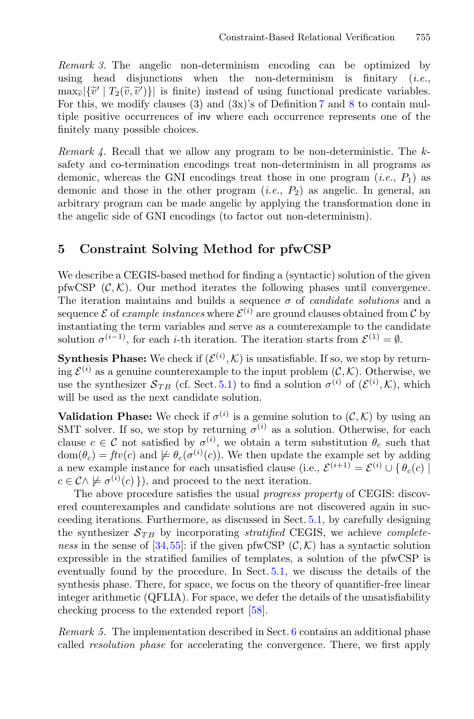<span id="page-13-1"></span>*Remark 3.* The angelic non-determinism encoding can be optimized by using head disjunctions when the non-determinism is finitary (*i.e.*, Constraint-Based Relational Verification 755<br> *Remark 3.* The angelic non-determinism encoding can be optimized by<br>
using head disjunctions when the non-determinism is finitary (*i.e.*,<br>  $\max_{\tilde{v}} |\{\tilde{v}' | T_2(\tilde{v}, \tilde{v}')\$  $\frac{r}{\sqrt{\widetilde{v}}}$  $\begin{array}{c}\n\text{e} \\
\text{dis} \\
\widetilde{v}, \widetilde{v}\n\end{array}$ For this, we modify clauses (3) and  $(3x)'$  of Definition [7](#page-11-1) and [8](#page-12-0) to contain multiple positive occurrences of inv where each occurrence represents one of the finitely many possible choices.

*Remark 4.* Recall that we allow any program to be non-deterministic. The ksafety and co-termination encodings treat non-determinism in all programs as demonic, whereas the GNI encodings treat those in one program  $(i.e., P_1)$  as demonic and those in the other program  $(i.e., P_2)$  as angelic. In general, an arbitrary program can be made angelic by applying the transformation done in the angelic side of GNI encodings (to factor out non-determinism).

# <span id="page-13-0"></span>**5 Constraint Solving Method for pfwCSP**

We describe a CEGIS-based method for finding a (syntactic) solution of the given pfwCSP  $(\mathcal{C}, \mathcal{K})$ . Our method iterates the following phases until convergence. The iteration maintains and builds a sequence σ of *candidate solutions* and a sequence  $\mathcal E$  of *example instances* where  $\mathcal E^{(i)}$  are ground clauses obtained from  $\mathcal C$  by instantiating the term variables and serve as a counterexample to the candidate solution  $\sigma^{(i-1)}$ , for each *i*-th iteration. The iteration starts from  $\mathcal{E}^{(1)} = \emptyset$ .

**Synthesis Phase:** We check if  $(\mathcal{E}^{(i)}, \mathcal{K})$  is unsatisfiable. If so, we stop by returning  $\mathcal{E}^{(i)}$  as a genuine counterexample to the input problem  $(\mathcal{C}, \mathcal{K})$ . Otherwise, we use the synthesizer  $S_{TB}$  (cf. Sect. [5.1\)](#page-14-0) to find a solution  $\sigma^{(i)}$  of  $(\mathcal{E}^{(i)}, \mathcal{K})$ , which will be used as the next candidate solution.

**Validation Phase:** We check if  $\sigma^{(i)}$  is a genuine solution to  $(\mathcal{C}, \mathcal{K})$  by using an SMT solver. If so, we stop by returning  $\sigma^{(i)}$  as a solution. Otherwise, for each clause  $c \in \mathcal{C}$  not satisfied by  $\sigma^{(i)}$ , we obtain a term substitution  $\theta_c$  such that  $dom(\theta_c) = ftv(c)$  and  $\not\models \theta_c(\sigma^{(i)}(c))$ . We then update the example set by adding a new example instance for each unsatisfied clause (i.e.,  $\mathcal{E}^{(i+1)} = \mathcal{E}^{(i)} \cup \{ \theta_c(c) \}$  $c \in \mathcal{C} \wedge \not\models \sigma^{(i)}(c)$ }, and proceed to the next iteration.

The above procedure satisfies the usual *progress property* of CEGIS: discovered counterexamples and candidate solutions are not discovered again in succeeding iterations. Furthermore, as discussed in Sect. [5.1,](#page-14-0) by carefully designing the synthesizer  $S_{TB}$  by incorporating *stratified* CEGIS, we achieve *completeness* in the sense of [\[34,](#page-22-8)[55\]](#page-23-8): if the given pfwCSP  $(C, K)$  has a syntactic solution expressible in the stratified families of templates, a solution of the pfwCSP is eventually found by the procedure. In Sect. [5.1,](#page-14-0) we discuss the details of the synthesis phase. There, for space, we focus on the theory of quantifier-free linear integer arithmetic (QFLIA). For space, we defer the details of the unsatisfiability checking process to the extended report [\[58](#page-23-6)].

*Remark 5.* The implementation described in Sect. [6](#page-17-0) contains an additional phase called *resolution phase* for accelerating the convergence. There, we first apply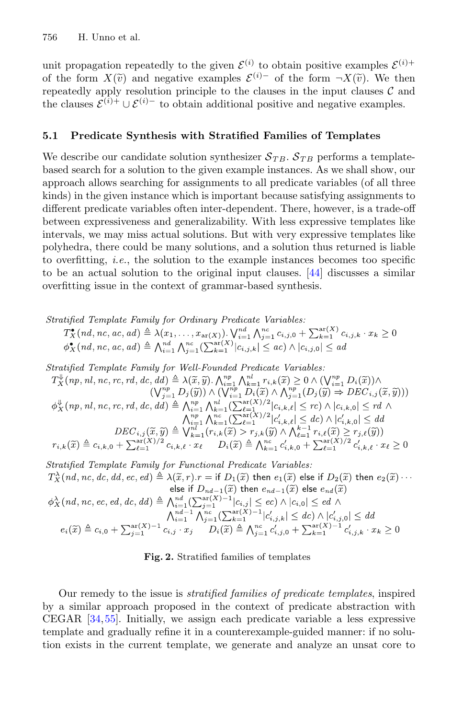unit propagation repeatedly to the given  $\mathcal{E}^{(i)}$  to obtain positive examples  $\mathcal{E}^{(i)+}$ 756 H. Unno et al.<br>
unit propagation repeatedly to the given  $\mathcal{E}^{(i)}$  to obtain positive exa<br>
of the form  $X(\tilde{v})$  and negative examples  $\mathcal{E}^{(i)-}$  of the form  $\neg X(\tilde{v})$ of the form  $X(\tilde{v})$  and negative examples  $\mathcal{E}^{(i)}$  of the form  $\neg X(\tilde{v})$ . We then repeatedly apply resolution principle to the clauses in the input clauses  $\mathcal{C}$  and the clauses  $\mathcal{E}^{(i)+} \cup \mathcal{E}^{(i)-}$  to obtain additional positive and negative examples.

### <span id="page-14-0"></span>**5.1 Predicate Synthesis with Stratified Families of Templates**

We describe our candidate solution synthesizer  $S_{TB}$ .  $S_{TB}$  performs a templatebased search for a solution to the given example instances. As we shall show, our approach allows searching for assignments to all predicate variables (of all three kinds) in the given instance which is important because satisfying assignments to different predicate variables often inter-dependent. There, however, is a trade-off between expressiveness and generalizability. With less expressive templates like intervals, we may miss actual solutions. But with very expressive templates like polyhedra, there could be many solutions, and a solution thus returned is liable to overfitting, *i.e.*, the solution to the example instances becomes too specific to be an actual solution to the original input clauses. [\[44\]](#page-23-9) discusses a similar overfitting issue in the context of grammar-based synthesis.

Stratified Template Family for Ordinary Predicate Variables:  $T^{\bullet}_{\mathbf{x}}(nd, nc, ac, ad) \triangleq \lambda(x_1, ..., x_{ar(X)}) \cdot \bigvee_{i=1}^{nd} \bigwedge_{j=1}^{nc} c_{i,j,0} + \sum_{k=1}^{ar(X)} c_{i,j,k} \cdot x_k \ge 0$ <br>  $\phi^{\bullet}_{\mathbf{x}}(nd, nc, ac, ad) \triangleq \bigwedge_{i=1}^{nd} \bigwedge_{j=1}^{nc} (\sum_{k=1}^{ar(X)} |c_{i,j,k}| \le ac) \wedge |c_{i,j,0}| \le ad$ Stratified Template Family for Well-Founded Predicate Variables:  $T_X^{\Downarrow}(np, nl, nc, rc, rd, dc, dd) \triangleq \lambda(\tilde{x}, \tilde{y}). \bigwedge_{i=1}^{np} \bigwedge_{k=1}^{nl} r_{i,k}(\tilde{x}) \geq 0 \wedge (\bigvee_{i=1}^{np} D_i(\tilde{x})) \wedge$  $(\bigvee_{j=1}^{np} D_j(\widetilde{y})) \wedge (\bigvee_{i=1}^{np} D_i(\widetilde{x}) \wedge \bigwedge_{j=1}^{np} (D_j(\widetilde{y}) \Rightarrow DEC_{i,j}(\widetilde{x}, \widetilde{y})))$  $\phi_X^{\psi}(np, nl, nc, rc, rd, dc, dd) \triangleq \bigwedge_{i=1}^{np} \bigwedge_{k=1}^{nl} (\sum_{\ell=1}^{ar(X)/2} |c_{i,k,\ell}| \leq rc) \wedge |c_{i,k,0}| \leq rd \wedge \ \bigwedge_{i=1}^{n} \bigwedge_{k=1}^{nc(X)/2} |c'_{i,k,\ell}| \leq dc \bigwedge |c'_{i,k,0}| \leq dd$ 

$$
DEC_{i,j}(\widetilde{x}, \widetilde{y}) \triangleq \bigvee_{k=1}^{n+1} \bigvee_{k=1}^{n+1} \bigvee_{\ell=1}^{n+1} \bigvee_{\ell,\kappa,\ell} \bigwedge_{\ell=1}^{n+1} r_{i,\kappa,\ell} \bigwedge_{\ell=1}^{n+1} r_{i,\kappa,\ell} \bigwedge_{\ell=1}^{n+1} r_{i,\kappa,\ell} \bigwedge_{\ell=1}^{n+1} r_{i,\kappa,\ell} \bigwedge_{\ell=1}^{n+1} r_{i,\kappa,\ell} \bigwedge_{\ell=1}^{n+1} r_{i,\kappa,\ell} \bigwedge_{\ell=1}^{n+1} r_{i,\kappa,\ell} \bigwedge_{\ell=1}^{n+1} r_{i,\kappa,\ell} \bigwedge_{\ell=1}^{n+1} r_{i,\kappa,\ell} \bigwedge_{\ell=1}^{n+1} r_{i,\kappa,\ell} \bigwedge_{\ell=1}^{n+1} r_{i,\kappa,\ell} \bigwedge_{\ell=1}^{n+1} r_{i,\kappa,\ell} \bigwedge_{\ell=1}^{n+1} r_{i,\kappa,\ell} \bigwedge_{\ell=1}^{n+1} r_{i,\kappa,\ell} \bigwedge_{\ell=1}^{n+1} r_{i,\kappa,\ell} \bigwedge_{\ell=1}^{n+1} r_{i,\kappa,\ell} \bigwedge_{\ell=1}^{n+1} r_{i,\kappa,\ell} \bigwedge_{\ell=1}^{n+1} r_{i,\kappa,\ell} \bigwedge_{\ell=1}^{n+1} r_{i,\kappa,\ell} \bigwedge_{\ell=1}^{n+1} r_{i,\kappa,\ell} \bigwedge_{\ell=1}^{n+1} r_{i,\kappa,\ell} \bigwedge_{\ell=1}^{n+1} r_{i,\kappa,\ell} \bigwedge_{\ell=1}^{n+1} r_{i,\kappa,\ell} \bigwedge_{\ell=1}^{n+1} r_{i,\kappa,\ell} \bigwedge_{\ell=1}^{n+1} r_{i,\kappa,\ell} \bigwedge_{\ell=1}^{n+1} r_{i,\kappa,\ell} \bigwedge_{\ell=1}^{n+1} r_{i,\kappa,\ell} \bigwedge_{\ell=1}^{n+1} r_{i,\kappa,\ell} \bigwedge_{\ell=1}
$$

Stratified Template Family for Functional Predicate Variables:  $T_X^{\lambda}(nd, nc, dc, dd, ec, ed) \triangleq \lambda(\tilde{x}, r).r = \text{if } D_1(\tilde{x}) \text{ then } e_1(\tilde{x}) \text{ else if } D_2(\tilde{x}) \text{ then } e_2(\tilde{x}) \cdots$ else if  $D_{nd-1}(\widetilde{x})$  then  $e_{nd-1}(\widetilde{x})$  else  $e_{nd}(\widetilde{x})$  $\phi_X^{\lambda}(nd, nc, ec, ed, dc, dd) \triangleq \bigwedge_{i=1}^{nd} (\sum_{j=1}^{ar(X)-1} |c_{i,j}| \leq ec) \wedge |c_{i,0}| \leq ed \wedge \bigwedge_{i=1}^{nd(X)-1} (\sum_{j=1}^{ar(X)-1} |c'_{i,j}| \leq dc) \wedge |c'_{i,0}| \leq dd$ <br> $e_i(\widetilde{x}) \triangleq c_{i,0} + \sum_{j=1}^{ar(X)-1} c_{i,j} \cdot x_j \qquad D_i(\widetilde{x}) \triangleq \bigwedge_{j=1}^{nc} c'_{i,j,0} + \sum_{k=1}^{ar(X)-1$ 

<span id="page-14-1"></span>**Fig. 2.** Stratified families of templates

Our remedy to the issue is *stratified families of predicate templates*, inspired by a similar approach proposed in the context of predicate abstraction with CEGAR [\[34](#page-22-8)[,55](#page-23-8)]. Initially, we assign each predicate variable a less expressive template and gradually refine it in a counterexample-guided manner: if no solution exists in the current template, we generate and analyze an unsat core to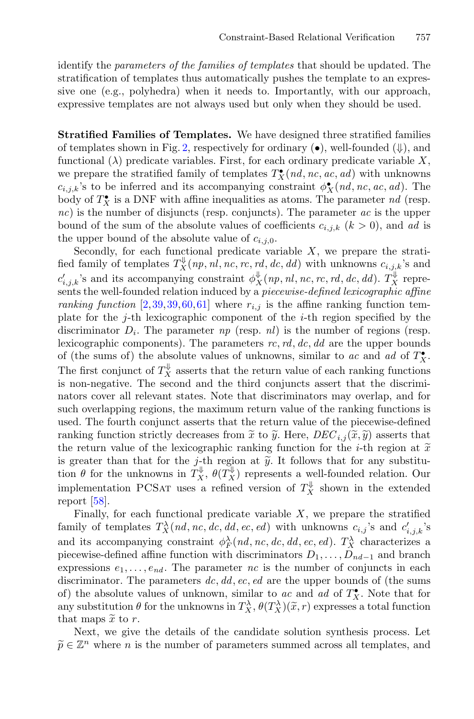identify the *parameters of the families of templates* that should be updated. The stratification of templates thus automatically pushes the template to an expressive one (e.g., polyhedra) when it needs to. Importantly, with our approach, expressive templates are not always used but only when they should be used.

**Stratified Families of Templates.** We have designed three stratified families of templates shown in Fig. [2,](#page-14-1) respectively for ordinary  $(\bullet)$ , well-founded  $(\Downarrow)$ , and functional  $(\lambda)$  predicate variables. First, for each ordinary predicate variable X, we prepare the stratified family of templates  $T_X^{\bullet}(nd, nc, ac, ad)$  with unknowns  $c_{i,j,k}$ 's to be inferred and its accompanying constraint  $\phi_X^{\bullet}(nd, nc, ac, ad)$ . The body of  $T_X^{\bullet}$  is a DNF with affine inequalities as atoms. The parameter  $nd$  (resp. *nc*) is the number of disjuncts (resp. conjuncts). The parameter *ac* is the upper bound of the sum of the absolute values of coefficients  $c_{i,j,k}$   $(k > 0)$ , and *ad* is the upper bound of the absolute value of  $c_{i,j,0}$ .

Secondly, for each functional predicate variable  $X$ , we prepare the stratified family of templates  $T_X^{\psi}(np, nl, nc, rc, rd, dc, dd)$  with unknowns  $c_{i,j,k}$ 's and  $c'_{i,j,k}$ 's and its accompanying constraint  $\phi_X^{\Downarrow}(np, nl, nc, rc, rd, dc, dd)$ .  $T_X^{\Downarrow}$  represents the well-founded relation induced by a *piecewise-defined lexicographic affine ranking function* [\[2](#page-21-11)[,39](#page-22-12),[39,](#page-22-12)[60](#page-24-2)[,61](#page-24-3)] where  $r_{i,j}$  is the affine ranking function template for the j-th lexicographic component of the i-th region specified by the discriminator  $D_i$ . The parameter  $np$  (resp.  $nl$ ) is the number of regions (resp. lexicographic components). The parameters *rc*, *rd*, *dc*, *dd* are the upper bounds of (the sums of) the absolute values of unknowns, similar to *ac* and *ad* of  $T_X^{\bullet}$ . The first conjunct of  $T_X^{\Downarrow}$  asserts that the return value of each ranking functions The first conjunct of  $T_X$  asserts that the return value of each ranking functions<br>is non-negative. The second and the third conjuncts assert that the discrimi-<br>nators cover all relevant states. Note that discriminators m nators cover all relevant states. Note that discriminators may overlap, and for such overlapping regions, the maximum return value of the ranking functions is used. The fourth conjunct asserts that the return value of the piecewise-defined ) asserts that the return value of the lexicographic ranking function for the *i*-th region at  $\tilde{x}$  return value of the ranking functions is used. The fourth conjunct asserts that the return value of the piecewise-defined ranking fun the return value of the lexicographic ranking function for the *i*-th region at  $\tilde{x}$ fraction overlapping regions, the maximum returnsed. The fourth conjunct asserts that the returnshing function strictly decreases from  $\tilde{x}$  to the return value of the lexicographic ranking is greater than that for the is greater than that for the j-th region at  $\tilde{y}$ . It follows that for any substitution  $\theta$  for the unknowns in  $T_X^{\Downarrow}$ ,  $\theta(T_X^{\Downarrow})$  represents a well-founded relation. Our implementation PCSAT uses a refined version of  $T_X^{\Downarrow}$  shown in the extended report [\[58\]](#page-23-6).

Finally, for each functional predicate variable  $X$ , we prepare the stratified family of templates  $T_X^{\lambda}(nd, nc, dc, dd, ec, ed)$  with unknowns  $c_{i,j}$ 's and  $c'_{i,j,k}$ 's and its accompanying constraint  $\phi_F^{\lambda}(nd, nc, dc, dd, ec, ed)$ .  $T_X^{\lambda}$  characterizes a piecewise-defined affine function with discriminators  $D_1, \ldots, D_{nd-1}$  and branch<br>expressions  $e_1, \ldots, e_{nd}$ . The parameter *nc* is the number of conjuncts in each<br>discriminator. The parameters dc, dd, ec, ed are the uppe expressions  $e_1, \ldots, e_{nd}$ . The parameter *nc* is the number of conjuncts in each discriminator. The parameters *dc*, *dd*, *ec*, *ed* are the upper bounds of (the sums of) the absolute values of unknown, similar to *ac* and *ad* of  $T_X^{\bullet}$ . Note that for any substitution  $\theta$  for the unknowns in  $T_X^{\lambda}$ ,  $\theta(T_X^{\lambda})(\tilde{x}, r)$  expresses a total function precewise-de<br>expressions<br>discriminato<br>of) the abso<br>any substitu<br>that maps  $\tilde{x}$ that maps  $\tilde{x}$  to r.  $\begin{smallmatrix} \mathbf{0} \ \mathbf{0} \ \mathbf{0} \ \mathbf{0} \end{smallmatrix}$  at  $\mathbf{0} \ \widetilde{\mathbf{0}}$ 

Next, we give the details of the candidate solution synthesis process. Let  $\widetilde{p} \in \mathbb{Z}^n$  where *n* is the number of parameters summed across all templates, and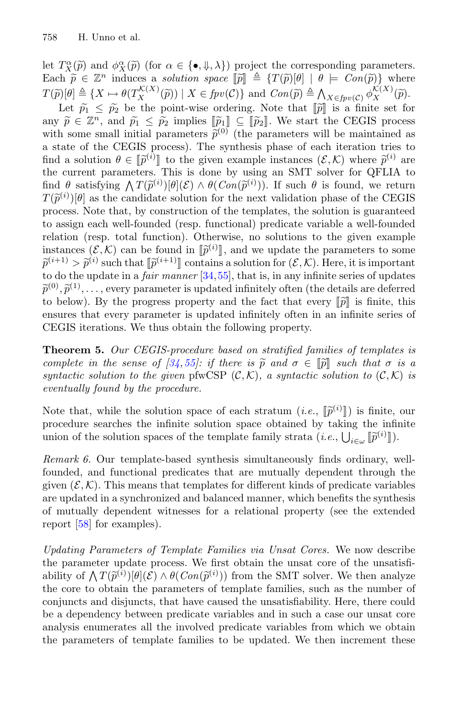758 H. Unno et al.<br>
let  $T_X^{\alpha}(\tilde{p})$  and  $\phi_X^{\alpha}(\tilde{p})$  (for  $\alpha \in {\{\bullet, \downarrow, \lambda\}}$ ) project the corresponding parameters. T58 H. Unno et al.<br>
let  $T_X^{\alpha}(\tilde{p})$  and  $\phi_X^{\alpha}(\tilde{p})$  (for  $\alpha \in {\{\bullet, \Downarrow, \lambda\}}$ ) project the corresponding particles a solution space  $[\![\tilde{p}]\!] \triangleq \{T(\tilde{p})[\theta] \mid \theta \models Con(\tilde{p})\}$  $\widetilde{p} \in \mathbb{Z}^n$  induces a *solution space*  $[\widetilde{p}] \triangleq \{T(\widetilde{p})[\theta] \mid \theta \models Con(\widetilde{p})\}$  where  $\frac{1}{\widetilde{p}}$ T58 H. Unno et al.<br>
let  $T_X^{\alpha}(\tilde{p})$  and  $\phi_X^{\alpha}(\tilde{p})$  (for  $\alpha \in {\{\bullet, \downarrow, \lambda\}}$ ) project the corresponding parameters<br>
Each  $\tilde{p} \in \mathbb{Z}^n$  induces a *solution space*  $\llbracket \tilde{p} \rrbracket \triangleq \{T(\tilde{p})[\theta] \mid \theta \models Con(\tilde{p})\}$  w  $T_X^{\alpha}(\tilde{p})$  and  $\phi$ <br>
th  $\tilde{p} \in \mathbb{Z}^n$  in<br>  $\tilde{p}[\theta] \triangleq \{X \mapsto \tilde{p}_1 \leq \tilde{p}_2\}$  $\mathop{\theta}\limits^{sp}\theta \not\stackrel{\rho}{\widetilde{p}}$ let  $T_X^{\alpha}(\tilde{p})$  and  $\phi_X^{\alpha}(\tilde{p})$  (for<br>
Each  $\tilde{p} \in \mathbb{Z}^n$  induces a s<br>  $T(\tilde{p})[\theta] \triangleq \{X \mapsto \theta(T_X^{K(X)}(\tilde{p}))\}$ <br>
Let  $\tilde{p}_1 \leq \tilde{p}_2$  be the p<br>
any  $\tilde{p} \in \mathbb{Z}^n$ , and  $\tilde{p}_1 \leq \tilde{p}_2$  $\lambda$ <br>ac<br>pr<br> $\widetilde{p}$  $\overset{e_0}{\triangleq} n$ <br> $\overset{\triangle}{p}$ 

 $\tilde{p}_2$  be the point-wise ordering. Note that  $\llbracket \tilde{p} \rrbracket$  is a finite set for 2 implies  $\left[\begin{matrix} \tilde{p}_1 \end{matrix}\right] \subseteq \left[\begin{matrix} \tilde{p}_2 \end{matrix}\right]$ . We start the CEGIS process Each  $\tilde{p} \in \mathbb{Z}^n$  induces a *solution spa*<br>  $T(\tilde{p})[\theta] \triangleq \{X \mapsto \theta(T_X^{\mathcal{K}(X)}(\tilde{p})) \mid X \in \mathit{fp}$ <br>
Let  $\tilde{p}_1 \leq \tilde{p}_2$  be the point-wise of<br>
any  $\tilde{p} \in \mathbb{Z}^n$ , and  $\tilde{p}_1 \leq \tilde{p}_2$  implies  $\llbracket \tilde{p}_1 \rrbracket$  $(0)$  (the parameters will be maintained as a state of the CEGIS process). The synthesis phase of each iteration tries to<br>find a solution  $\theta \in [\tilde{p}^{(i)}]$  to the given example instances  $(\mathcal{E}, \mathcal{K})$  where  $\tilde{p}^{(i)}$  are<br>the current parameters. This is done by find a solution  $\theta \in [\tilde{p}^{(i)}]$  to the given example instances  $(\mathcal{E}, \mathcal{K})$  where  $\tilde{p}^{(i)}$  are  $\begin{array}{c} \epsilon \ \epsilon \ \epsilon \ \epsilon \ \epsilon \ \epsilon \ \epsilon \ \sin \theta \ \sin \theta \end{array}$ point-wise ordering. Note that  $[\![\tilde{p}]\!]$  is a finite s<br>point-wise ordering. Note that  $[\![\tilde{p}]\!]$  is a finite s<br> $\tilde{p}_2$  implies  $[\![\tilde{p}_1]\!] \subseteq [\![\tilde{p}_2]\!]$ . We start the CEGIS p<br>parameters  $\tilde{p}^{(0)}$  (the parameter the current parameters. This is done by using an SMT solver for QFLIA to any  $\tilde{p} \in \mathbb{Z}^n$ , and  $\tilde{p}_1 \leq \tilde{p}_2$  implies  $\llbracket \tilde{p}_1 \rrbracket \subseteq$ <br>with some small initial parameters  $\tilde{p}^{(0)}$  (th<br>a state of the CEGIS process). The synthe<br>find a solution  $\theta \in \llbracket \tilde{p}^{(i)} \rrbracket$  to the giv  $\mathcal{O}^{(i)}(\theta](\mathcal{E}) \wedge \theta(Con(\tilde{p}^{(i)}))$ . If such  $\theta$  is found, we return  $\mathcal{F}^{(i)}\left[\theta\right]$  as the candidate solution for the next validation phase of the CEGIS process. Note that, by construction of the templates, the solution is guaranteed to assign each well-founded (resp. functional) predicate variable a well-founded relation (resp. total function). Otherwise, no solutions to the given example instances  $(\mathcal{E}, \mathcal{K})$  can be found in  $[\tilde{p}^{(i)}]$ , and we update the parameters to some  $\begin{array}{c} \mathbf{n} \ \mathbf{n} \ \mathbf{f} \ \mathbf{f} \ \mathbf{p} \end{array}$  $\frac{1}{p}$  p to reginal  $\widetilde{p}$  $(\nu^{\alpha})[\nu]$ <br>rocess. No<br>assign  $\epsilon$ <br>elation  $(n)$ <br>stances<br> $(i+1) > \tilde{p}$ (i) such that  $\llbracket \widetilde{p}^{(i+1)} \rrbracket$  contains a solution for  $(\mathcal{E}, \mathcal{K})$ . Here, it is important เล<br>cơ<br>n<br>? ขี to do the update in a *fair manner* [\[34](#page-22-8),[55\]](#page-23-8), that is, in any infinite series of updates  $\tilde{p}$  if  $\tilde{p}$  to  $\tilde{p}$  $\det(i+1)$ <br>  $\det(i+1)$ <br>  $\det(0)$ ,  $\widetilde{p}$  $\tilde{p}^{(0)}, \tilde{p}^{(1)}, \ldots$ , every parameter is updated infinitely often (the details are deferred to below). By the progress property and the fact that every  $\llbracket \tilde{p} \rrbracket$  is finite, this  $_{\rm{es,se}}^{\rm{ex}}$ ensures that every parameter is updated infinitely often in an infinite series of CEGIS iterations. We thus obtain the following property. *complete in the sense of*  $[34, 55]$  $[34, 55]$  $[34, 55]$ *: if there is*  $\tilde{p}$  and  $\sigma \in [\tilde{p}]$  is finite, this ensures that every parameter is updated infinitely often in an infinite series of CEGIS iterations. We thus obtain the followi  $\frac{1}{\widetilde{p}}$ 

<span id="page-16-0"></span>**Theorem 5.** *Our CEGIS-procedure based on stratified families of templates is syntactic solution to the given* pfwCSP  $(C, K)$ *, a syntactic solution to*  $(C, K)$  *is eventually found by the procedure.* lı<br>]<br>oi<br>p

Note that, while the solution space of each stratum  $(i.e., \llbracket \tilde{p}^{(i)} \rrbracket)$  is finite, our procedure searches the infinite solution space obtained by taking the infinite union of the solution spaces of the template family strata  $(i.e., \bigcup_{i \in \omega} [\tilde{p}^{(i)}]]$ . ir de $\widetilde{\widetilde{p}}$ 

*Remark 6.* Our template-based synthesis simultaneously finds ordinary, wellfounded, and functional predicates that are mutually dependent through the given  $(\mathcal{E}, \mathcal{K})$ . This means that templates for different kinds of predicate variables are updated in a synchronized and balanced manner, which benefits the synthesis of mutually dependent witnesses for a relational property (see the extended report [\[58](#page-23-6)] for examples).

*Updating Parameters of Template Families via Unsat Cores.* We now describe the parameter update process. We first obtain the unsat core of the unsatisfiof mutually depreport [58] for example the parameter vability of  $\bigwedge T(\widetilde{p})$ (*x*amples).<br>(*xamples*).<br>*neters of Template* in<br>pdate process. We<br>(*i*))[θ](*E*) ∧ θ(*Con*(p) ability of  $\Lambda T(\tilde{p}^{(i)})[\theta](\mathcal{E}) \wedge \theta(Con(\tilde{p}^{(i)}))$  from the SMT solver. We then analyze the core to obtain the parameters of template families, such as the number of conjuncts and disjuncts, that have caused the unsatisfiability. Here, there could be a dependency between predicate variables and in such a case our unsat core analysis enumerates all the involved predicate variables from which we obtain the parameters of template families to be updated. We then increment these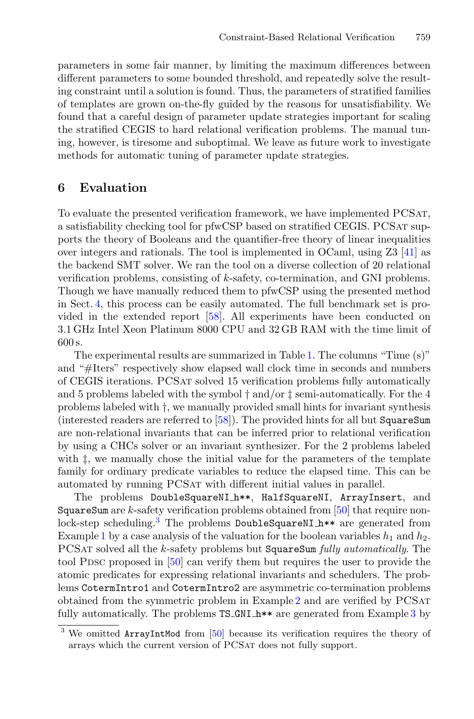parameters in some fair manner, by limiting the maximum differences between different parameters to some bounded threshold, and repeatedly solve the resulting constraint until a solution is found. Thus, the parameters of stratified families of templates are grown on-the-fly guided by the reasons for unsatisfiability. We found that a careful design of parameter update strategies important for scaling the stratified CEGIS to hard relational verification problems. The manual tuning, however, is tiresome and suboptimal. We leave as future work to investigate methods for automatic tuning of parameter update strategies.

## <span id="page-17-0"></span>**6 Evaluation**

To evaluate the presented verification framework, we have implemented PCSat, a satisfiability checking tool for pfwCSP based on stratified CEGIS. PCSAT supports the theory of Booleans and the quantifier-free theory of linear inequalities over integers and rationals. The tool is implemented in OCaml, using Z3 [\[41\]](#page-23-14) as the backend SMT solver. We ran the tool on a diverse collection of 20 relational verification problems, consisting of k-safety, co-termination, and GNI problems. Though we have manually reduced them to pfwCSP using the presented method in Sect. [4,](#page-8-0) this process can be easily automated. The full benchmark set is provided in the extended report [\[58](#page-23-6)]. All experiments have been conducted on 3.1 GHz Intel Xeon Platinum 8000 CPU and 32 GB RAM with the time limit of 600 s.

The experimental results are summarized in Table [1.](#page-19-0) The columns "Time (s)" and "#Iters" respectively show elapsed wall clock time in seconds and numbers of CEGIS iterations. PCSat solved 15 verification problems fully automatically and 5 problems labeled with the symbol † and/or ‡ semi-automatically. For the 4 problems labeled with †, we manually provided small hints for invariant synthesis (interested readers are referred to [\[58\]](#page-23-6)). The provided hints for all but SquareSum are non-relational invariants that can be inferred prior to relational verification by using a CHCs solver or an invariant synthesizer. For the 2 problems labeled with  $\ddagger$ , we manually chose the initial value for the parameters of the template family for ordinary predicate variables to reduce the elapsed time. This can be automated by running PCSat with different initial values in parallel.

The problems DoubleSquareNI h\*\*, HalfSquareNI, ArrayInsert, and SquareSum are k-safety verification problems obtained from [\[50\]](#page-23-3) that require nonlock-step scheduling.[3](#page-17-1) The problems DoubleSquareNI h\*\* are generated from Example [1](#page-9-1) by a case analysis of the valuation for the boolean variables  $h_1$  and  $h_2$ . PCSat solved all the k-safety problems but SquareSum *fully automatically*. The tool PDSC proposed in  $[50]$  $[50]$  can verify them but requires the user to provide the atomic predicates for expressing relational invariants and schedulers. The problems CotermIntro1 and CotermIntro2 are asymmetric co-termination problems obtained from the symmetric problem in Example [2](#page-11-2) and are verified by PCSat fully automatically. The problems  $TS_GNI_h**$  are generated from Example [3](#page-12-1) by

<span id="page-17-1"></span><sup>&</sup>lt;sup>3</sup> We omitted ArrayIntMod from [\[50\]](#page-23-3) because its verification requires the theory of arrays which the current version of PCSat does not fully support.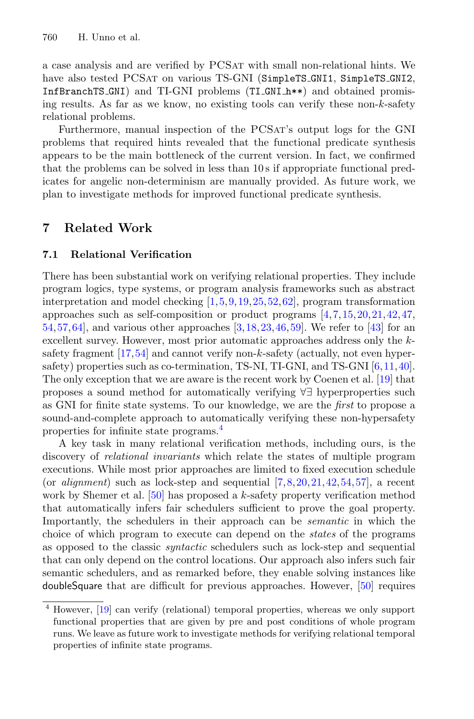a case analysis and are verified by PCSat with small non-relational hints. We have also tested PCSAT on various TS-GNI (SimpleTS\_GNI1, SimpleTS\_GNI2, InfBranchTS GNI) and TI-GNI problems (TI GNI h\*\*) and obtained promising results. As far as we know, no existing tools can verify these non-k-safety relational problems.

Furthermore, manual inspection of the PCSat's output logs for the GNI problems that required hints revealed that the functional predicate synthesis appears to be the main bottleneck of the current version. In fact, we confirmed that the problems can be solved in less than 10 s if appropriate functional predicates for angelic non-determinism are manually provided. As future work, we plan to investigate methods for improved functional predicate synthesis.

# <span id="page-18-0"></span>**7 Related Work**

#### **7.1 Relational Verification**

There has been substantial work on verifying relational properties. They include program logics, type systems, or program analysis frameworks such as abstract interpretation and model checking [\[1,](#page-20-0)[5](#page-21-12)[,9](#page-21-13),[19,](#page-21-5)[25](#page-22-13)[,52](#page-23-11),[62\]](#page-24-4), program transformation approaches such as self-composition or product programs [\[4](#page-21-14),[7,](#page-21-10)[15,](#page-21-15)[20](#page-21-3)[,21](#page-21-4),[42](#page-23-0)[,47](#page-23-15), [54](#page-23-1)[,57](#page-23-2),[64\]](#page-24-5), and various other approaches [\[3](#page-21-16)[,18](#page-21-17),[23,](#page-22-14)[46,](#page-23-10)[59](#page-23-12)]. We refer to [\[43](#page-23-16)] for an excellent survey. However, most prior automatic approaches address only the k-safety fragment [\[17,](#page-21-9)[54](#page-23-1)] and cannot verify non-k-safety (actually, not even hypersafety) properties such as co-termination, TS-NI, TI-GNI, and TS-GNI [\[6](#page-21-0)[,11,](#page-21-8)[40\]](#page-22-0). The only exception that we are aware is the recent work by Coenen et al. [\[19\]](#page-21-5) that proposes a sound method for automatically verifying ∀∃ hyperproperties such as GNI for finite state systems. To our knowledge, we are the *first* to propose a sound-and-complete approach to automatically verifying these non-hypersafety properties for infinite state programs.[4](#page-18-1)

A key task in many relational verification methods, including ours, is the discovery of *relational invariants* which relate the states of multiple program executions. While most prior approaches are limited to fixed execution schedule (or *alignment*) such as lock-step and sequential  $[7,8,20,21,42,54,57]$  $[7,8,20,21,42,54,57]$  $[7,8,20,21,42,54,57]$  $[7,8,20,21,42,54,57]$  $[7,8,20,21,42,54,57]$  $[7,8,20,21,42,54,57]$  $[7,8,20,21,42,54,57]$  $[7,8,20,21,42,54,57]$  $[7,8,20,21,42,54,57]$ , a recent work by Shemer et al.  $[50]$  has proposed a k-safety property verification method that automatically infers fair schedulers sufficient to prove the goal property. Importantly, the schedulers in their approach can be *semantic* in which the choice of which program to execute can depend on the *states* of the programs as opposed to the classic *syntactic* schedulers such as lock-step and sequential that can only depend on the control locations. Our approach also infers such fair semantic schedulers, and as remarked before, they enable solving instances like doubleSquare that are difficult for previous approaches. However, [\[50](#page-23-3)] requires

<span id="page-18-1"></span><sup>4</sup> However, [\[19](#page-21-5)] can verify (relational) temporal properties, whereas we only support functional properties that are given by pre and post conditions of whole program runs. We leave as future work to investigate methods for verifying relational temporal properties of infinite state programs.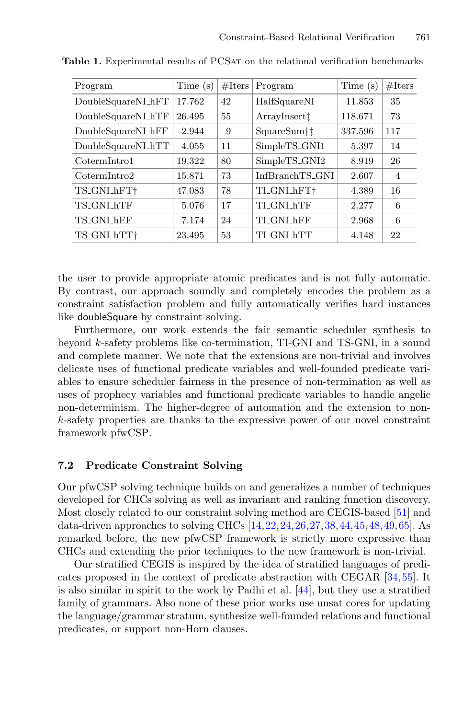<span id="page-19-0"></span>

| Program           | Time(s) | $# \mathcal{H}$ | Program               | Time $(s)$ | #Iters         |
|-------------------|---------|-----------------|-----------------------|------------|----------------|
| DoubleSquareNLhFT | 17.762  | 42              | HalfSquareNI          | 11.853     | 35             |
| DoubleSquareNLhTF | 26.495  | 55              | $ArrayInsert\ddagger$ | 118.671    | 73             |
| DoubleSquareNLhFF | 2.944   | 9               | SquareSum†‡           | 337.596    | 117            |
| DoubleSquareNLhTT | 4.055   | 11              | SimpleTS_GNI1         | 5.397      | 14             |
| CotermIntro1      | 19.322  | 80              | SimpleTS_GNI2         | 8.919      | 26             |
| CotermIntro2      | 15.871  | 73              | InfBranchTS_GNI       | 2.607      | $\overline{4}$ |
| TS_GNLhFT+        | 47.083  | 78              | TI_GNLhFT+            | 4.389      | 16             |
| TS_GNLhTF         | 5.076   | 17              | TLGNLhTF              | 2.277      | 6              |
| TS_GNLhFF         | 7.174   | 24              | TI GNI hFF            | 2.968      | 6              |
| TS_GNLhTT+        | 23.495  | 53              | TLGNLhTT              | 4.148      | 22             |

**Table 1.** Experimental results of PCSAT on the relational verification benchmarks

the user to provide appropriate atomic predicates and is not fully automatic. By contrast, our approach soundly and completely encodes the problem as a constraint satisfaction problem and fully automatically verifies hard instances like doubleSquare by constraint solving.

Furthermore, our work extends the fair semantic scheduler synthesis to beyond k-safety problems like co-termination, TI-GNI and TS-GNI, in a sound and complete manner. We note that the extensions are non-trivial and involves delicate uses of functional predicate variables and well-founded predicate variables to ensure scheduler fairness in the presence of non-termination as well as uses of prophecy variables and functional predicate variables to handle angelic non-determinism. The higher-degree of automation and the extension to nonk-safety properties are thanks to the expressive power of our novel constraint framework pfwCSP.

#### **7.2 Predicate Constraint Solving**

Our pfwCSP solving technique builds on and generalizes a number of techniques developed for CHCs solving as well as invariant and ranking function discovery. Most closely related to our constraint solving method are CEGIS-based [\[51\]](#page-23-7) and data-driven approaches to solving CHCs [\[14](#page-21-7)[,22](#page-22-15),[24,](#page-22-16)[26](#page-22-9)[,27](#page-22-17)[,38](#page-22-18),[44,](#page-23-9)[45,](#page-23-13)[48](#page-23-17)[,49](#page-23-18),[65\]](#page-24-6). As remarked before, the new pfwCSP framework is strictly more expressive than CHCs and extending the prior techniques to the new framework is non-trivial.

Our stratified CEGIS is inspired by the idea of stratified languages of predicates proposed in the context of predicate abstraction with CEGAR [\[34](#page-22-8),[55\]](#page-23-8). It is also similar in spirit to the work by Padhi et al. [\[44](#page-23-9)], but they use a stratified family of grammars. Also none of these prior works use unsat cores for updating the language/grammar stratum, synthesize well-founded relations and functional predicates, or support non-Horn clauses.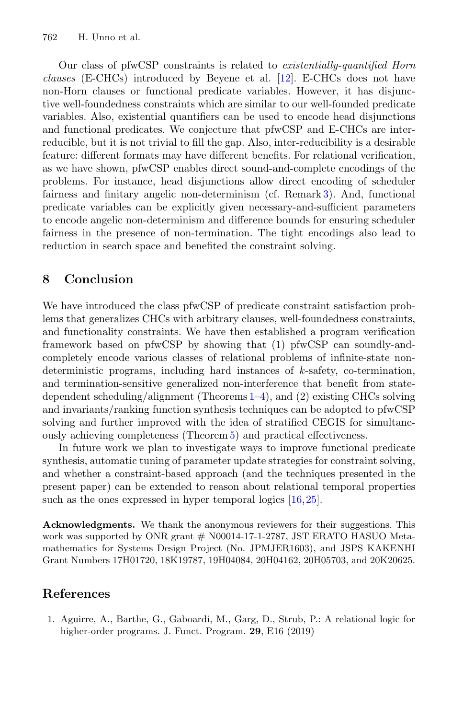Our class of pfwCSP constraints is related to *existentially-quantified Horn clauses* (E-CHCs) introduced by Beyene et al. [\[12\]](#page-21-18). E-CHCs does not have non-Horn clauses or functional predicate variables. However, it has disjunctive well-foundedness constraints which are similar to our well-founded predicate variables. Also, existential quantifiers can be used to encode head disjunctions and functional predicates. We conjecture that pfwCSP and E-CHCs are interreducible, but it is not trivial to fill the gap. Also, inter-reducibility is a desirable feature: different formats may have different benefits. For relational verification, as we have shown, pfwCSP enables direct sound-and-complete encodings of the problems. For instance, head disjunctions allow direct encoding of scheduler fairness and finitary angelic non-determinism (cf. Remark [3\)](#page-13-1). And, functional predicate variables can be explicitly given necessary-and-sufficient parameters to encode angelic non-determinism and difference bounds for ensuring scheduler fairness in the presence of non-termination. The tight encodings also lead to reduction in search space and benefited the constraint solving.

## **8 Conclusion**

We have introduced the class pfwCSP of predicate constraint satisfaction problems that generalizes CHCs with arbitrary clauses, well-foundedness constraints, and functionality constraints. We have then established a program verification framework based on pfwCSP by showing that (1) pfwCSP can soundly-andcompletely encode various classes of relational problems of infinite-state nondeterministic programs, including hard instances of  $k$ -safety, co-termination, and termination-sensitive generalized non-interference that benefit from statedependent scheduling/alignment (Theorems [1](#page-9-0)[–4\)](#page-12-2), and (2) existing CHCs solving and invariants/ranking function synthesis techniques can be adopted to pfwCSP solving and further improved with the idea of stratified CEGIS for simultaneously achieving completeness (Theorem [5\)](#page-16-0) and practical effectiveness.

In future work we plan to investigate ways to improve functional predicate synthesis, automatic tuning of parameter update strategies for constraint solving, and whether a constraint-based approach (and the techniques presented in the present paper) can be extended to reason about relational temporal properties such as the ones expressed in hyper temporal logics  $[16,25]$  $[16,25]$  $[16,25]$ .

**Acknowledgments.** We thank the anonymous reviewers for their suggestions. This work was supported by ONR grant  $#$  N00014-17-1-2787, JST ERATO HASUO Metamathematics for Systems Design Project (No. JPMJER1603), and JSPS KAKENHI Grant Numbers 17H01720, 18K19787, 19H04084, 20H04162, 20H05703, and 20K20625.

## **References**

<span id="page-20-0"></span>1. Aguirre, A., Barthe, G., Gaboardi, M., Garg, D., Strub, P.: A relational logic for higher-order programs. J. Funct. Program. **29**, E16 (2019)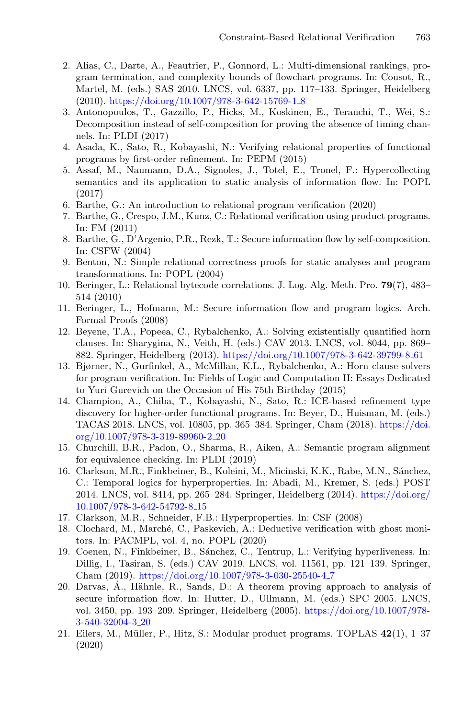- <span id="page-21-11"></span>2. Alias, C., Darte, A., Feautrier, P., Gonnord, L.: Multi-dimensional rankings, program termination, and complexity bounds of flowchart programs. In: Cousot, R., Martel, M. (eds.) SAS 2010. LNCS, vol. 6337, pp. 117–133. Springer, Heidelberg (2010). [https://doi.org/10.1007/978-3-642-15769-1](https://doi.org/10.1007/978-3-642-15769-1_8) 8
- <span id="page-21-16"></span>3. Antonopoulos, T., Gazzillo, P., Hicks, M., Koskinen, E., Terauchi, T., Wei, S.: Decomposition instead of self-composition for proving the absence of timing channels. In: PLDI (2017)
- <span id="page-21-14"></span>4. Asada, K., Sato, R., Kobayashi, N.: Verifying relational properties of functional programs by first-order refinement. In: PEPM (2015)
- <span id="page-21-12"></span>5. Assaf, M., Naumann, D.A., Signoles, J., Totel, E., Tronel, F.: Hypercollecting semantics and its application to static analysis of information flow. In: POPL (2017)
- <span id="page-21-0"></span>6. Barthe, G.: An introduction to relational program verification (2020)
- <span id="page-21-10"></span>7. Barthe, G., Crespo, J.M., Kunz, C.: Relational verification using product programs. In: FM (2011)
- <span id="page-21-2"></span>8. Barthe, G., D'Argenio, P.R., Rezk, T.: Secure information flow by self-composition. In: CSFW (2004)
- <span id="page-21-13"></span>9. Benton, N.: Simple relational correctness proofs for static analyses and program transformations. In: POPL (2004)
- <span id="page-21-1"></span>10. Beringer, L.: Relational bytecode correlations. J. Log. Alg. Meth. Pro. **79**(7), 483– 514 (2010)
- <span id="page-21-8"></span>11. Beringer, L., Hofmann, M.: Secure information flow and program logics. Arch. Formal Proofs (2008)
- <span id="page-21-18"></span>12. Beyene, T.A., Popeea, C., Rybalchenko, A.: Solving existentially quantified horn clauses. In: Sharygina, N., Veith, H. (eds.) CAV 2013. LNCS, vol. 8044, pp. 869– 882. Springer, Heidelberg (2013). [https://doi.org/10.1007/978-3-642-39799-8](https://doi.org/10.1007/978-3-642-39799-8_61) 61
- <span id="page-21-6"></span>13. Bjørner, N., Gurfinkel, A., McMillan, K.L., Rybalchenko, A.: Horn clause solvers for program verification. In: Fields of Logic and Computation II: Essays Dedicated to Yuri Gurevich on the Occasion of His 75th Birthday (2015)
- <span id="page-21-7"></span>14. Champion, A., Chiba, T., Kobayashi, N., Sato, R.: ICE-based refinement type discovery for higher-order functional programs. In: Beyer, D., Huisman, M. (eds.) TACAS 2018. LNCS, vol. 10805, pp. 365–384. Springer, Cham (2018). [https://doi.](https://doi.org/10.1007/978-3-319-89960-2_20) [org/10.1007/978-3-319-89960-2](https://doi.org/10.1007/978-3-319-89960-2_20) 20
- <span id="page-21-15"></span>15. Churchill, B.R., Padon, O., Sharma, R., Aiken, A.: Semantic program alignment for equivalence checking. In: PLDI (2019)
- <span id="page-21-19"></span>16. Clarkson, M.R., Finkbeiner, B., Koleini, M., Micinski, K.K., Rabe, M.N., Sánchez, C.: Temporal logics for hyperproperties. In: Abadi, M., Kremer, S. (eds.) POST 2014. LNCS, vol. 8414, pp. 265–284. Springer, Heidelberg (2014). [https://doi.org/](https://doi.org/10.1007/978-3-642-54792-8_15) [10.1007/978-3-642-54792-8](https://doi.org/10.1007/978-3-642-54792-8_15) 15
- <span id="page-21-9"></span>17. Clarkson, M.R., Schneider, F.B.: Hyperproperties. In: CSF (2008)
- <span id="page-21-17"></span>18. Clochard, M., Marché, C., Paskevich, A.: Deductive verification with ghost monitors. In: PACMPL, vol. 4, no. POPL (2020)
- <span id="page-21-5"></span>19. Coenen, N., Finkbeiner, B., Sánchez, C., Tentrup, L.: Verifying hyperliveness. In: Dillig, I., Tasiran, S. (eds.) CAV 2019. LNCS, vol. 11561, pp. 121–139. Springer, Cham (2019). [https://doi.org/10.1007/978-3-030-25540-4](https://doi.org/10.1007/978-3-030-25540-4_7) 7
- <span id="page-21-3"></span>20. Darvas,  $\dot{A}$ ., Hähnle, R., Sands, D.: A theorem proving approach to analysis of secure information flow. In: Hutter, D., Ullmann, M. (eds.) SPC 2005. LNCS, vol. 3450, pp. 193–209. Springer, Heidelberg (2005). [https://doi.org/10.1007/978-](https://doi.org/10.1007/978-3-540-32004-3_20) [3-540-32004-3](https://doi.org/10.1007/978-3-540-32004-3_20) 20
- <span id="page-21-4"></span>21. Eilers, M., M¨uller, P., Hitz, S.: Modular product programs. TOPLAS **42**(1), 1–37 (2020)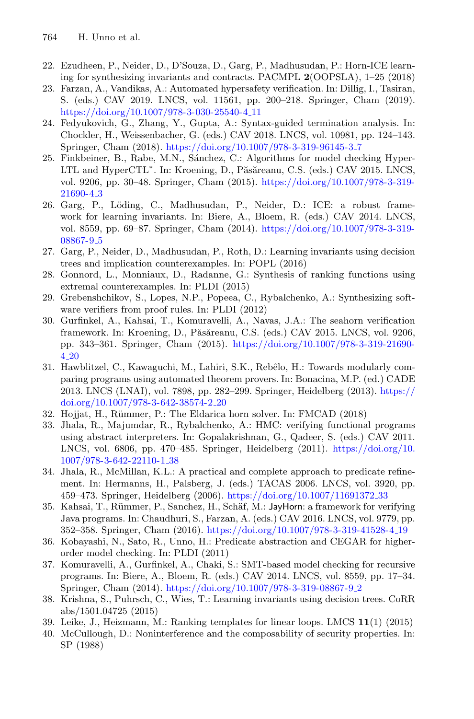- <span id="page-22-15"></span>22. Ezudheen, P., Neider, D., D'Souza, D., Garg, P., Madhusudan, P.: Horn-ICE learning for synthesizing invariants and contracts. PACMPL **2**(OOPSLA), 1–25 (2018)
- <span id="page-22-14"></span>23. Farzan, A., Vandikas, A.: Automated hypersafety verification. In: Dillig, I., Tasiran, S. (eds.) CAV 2019. LNCS, vol. 11561, pp. 200–218. Springer, Cham (2019). [https://doi.org/10.1007/978-3-030-25540-4](https://doi.org/10.1007/978-3-030-25540-4_11) 11
- <span id="page-22-16"></span>24. Fedyukovich, G., Zhang, Y., Gupta, A.: Syntax-guided termination analysis. In: Chockler, H., Weissenbacher, G. (eds.) CAV 2018. LNCS, vol. 10981, pp. 124–143. Springer, Cham (2018). [https://doi.org/10.1007/978-3-319-96145-3](https://doi.org/10.1007/978-3-319-96145-3_7) 7
- <span id="page-22-13"></span>25. Finkbeiner, B., Rabe, M.N., Sánchez, C.: Algorithms for model checking Hyper-LTL and HyperCTL<sup>\*</sup>. In: Kroening, D., Păsăreanu, C.S. (eds.) CAV 2015. LNCS, vol. 9206, pp. 30–48. Springer, Cham (2015). [https://doi.org/10.1007/978-3-319-](https://doi.org/10.1007/978-3-319-21690-4_3) [21690-4](https://doi.org/10.1007/978-3-319-21690-4_3) 3
- <span id="page-22-9"></span>26. Garg, P., L¨oding, C., Madhusudan, P., Neider, D.: ICE: a robust framework for learning invariants. In: Biere, A., Bloem, R. (eds.) CAV 2014. LNCS, vol. 8559, pp. 69–87. Springer, Cham (2014). [https://doi.org/10.1007/978-3-319-](https://doi.org/10.1007/978-3-319-08867-9_5) [08867-9](https://doi.org/10.1007/978-3-319-08867-9_5) 5
- <span id="page-22-17"></span>27. Garg, P., Neider, D., Madhusudan, P., Roth, D.: Learning invariants using decision trees and implication counterexamples. In: POPL (2016)
- <span id="page-22-10"></span>28. Gonnord, L., Monniaux, D., Radanne, G.: Synthesis of ranking functions using extremal counterexamples. In: PLDI (2015)
- <span id="page-22-1"></span>29. Grebenshchikov, S., Lopes, N.P., Popeea, C., Rybalchenko, A.: Synthesizing software verifiers from proof rules. In: PLDI (2012)
- <span id="page-22-2"></span>30. Gurfinkel, A., Kahsai, T., Komuravelli, A., Navas, J.A.: The seahorn verification framework. In: Kroening, D., Păsăreanu, C.S. (eds.) CAV 2015. LNCS, vol. 9206, pp. 343–361. Springer, Cham (2015). [https://doi.org/10.1007/978-3-319-21690-](https://doi.org/10.1007/978-3-319-21690-4_20) 4 [20](https://doi.org/10.1007/978-3-319-21690-4_20)
- <span id="page-22-11"></span>31. Hawblitzel, C., Kawaguchi, M., Lahiri, S.K., Rebêlo, H.: Towards modularly comparing programs using automated theorem provers. In: Bonacina, M.P. (ed.) CADE 2013. LNCS (LNAI), vol. 7898, pp. 282–299. Springer, Heidelberg (2013). [https://](https://doi.org/10.1007/978-3-642-38574-2_20) [doi.org/10.1007/978-3-642-38574-2](https://doi.org/10.1007/978-3-642-38574-2_20) 20
- <span id="page-22-7"></span>32. Hojjat, H., Rümmer, P.: The Eldarica horn solver. In: FMCAD (2018)
- <span id="page-22-4"></span>33. Jhala, R., Majumdar, R., Rybalchenko, A.: HMC: verifying functional programs using abstract interpreters. In: Gopalakrishnan, G., Qadeer, S. (eds.) CAV 2011. LNCS, vol. 6806, pp. 470–485. Springer, Heidelberg (2011). [https://doi.org/10.](https://doi.org/10.1007/978-3-642-22110-1_38) [1007/978-3-642-22110-1](https://doi.org/10.1007/978-3-642-22110-1_38) 38
- <span id="page-22-8"></span>34. Jhala, R., McMillan, K.L.: A practical and complete approach to predicate refinement. In: Hermanns, H., Palsberg, J. (eds.) TACAS 2006. LNCS, vol. 3920, pp. 459–473. Springer, Heidelberg (2006). [https://doi.org/10.1007/11691372](https://doi.org/10.1007/11691372_33) 33
- <span id="page-22-3"></span>35. Kahsai, T., Rümmer, P., Sanchez, H., Schäf, M.: JayHorn: a framework for verifying Java programs. In: Chaudhuri, S., Farzan, A. (eds.) CAV 2016. LNCS, vol. 9779, pp. 352–358. Springer, Cham (2016). [https://doi.org/10.1007/978-3-319-41528-4](https://doi.org/10.1007/978-3-319-41528-4_19) 19
- <span id="page-22-5"></span>36. Kobayashi, N., Sato, R., Unno, H.: Predicate abstraction and CEGAR for higherorder model checking. In: PLDI (2011)
- <span id="page-22-6"></span>37. Komuravelli, A., Gurfinkel, A., Chaki, S.: SMT-based model checking for recursive programs. In: Biere, A., Bloem, R. (eds.) CAV 2014. LNCS, vol. 8559, pp. 17–34. Springer, Cham (2014). [https://doi.org/10.1007/978-3-319-08867-9](https://doi.org/10.1007/978-3-319-08867-9_2) 2
- <span id="page-22-18"></span>38. Krishna, S., Puhrsch, C., Wies, T.: Learning invariants using decision trees. CoRR abs/1501.04725 (2015)
- <span id="page-22-12"></span>39. Leike, J., Heizmann, M.: Ranking templates for linear loops. LMCS **11**(1) (2015)
- <span id="page-22-0"></span>40. McCullough, D.: Noninterference and the composability of security properties. In: SP (1988)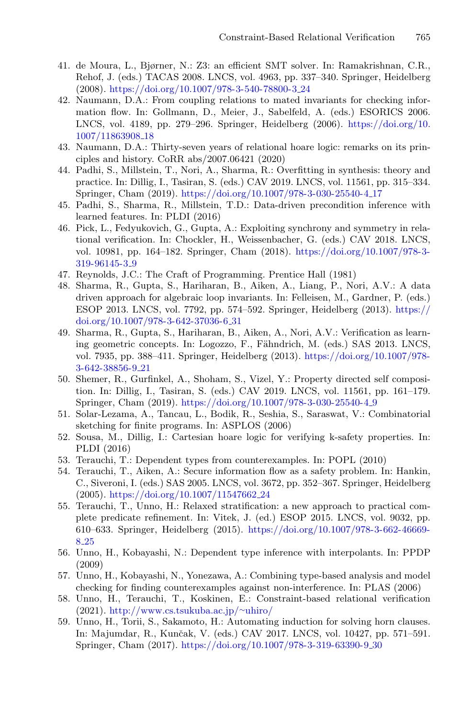- <span id="page-23-14"></span>41. de Moura, L., Bjørner, N.: Z3: an efficient SMT solver. In: Ramakrishnan, C.R., Rehof, J. (eds.) TACAS 2008. LNCS, vol. 4963, pp. 337–340. Springer, Heidelberg (2008). [https://doi.org/10.1007/978-3-540-78800-3](https://doi.org/10.1007/978-3-540-78800-3_24) 24
- <span id="page-23-0"></span>42. Naumann, D.A.: From coupling relations to mated invariants for checking information flow. In: Gollmann, D., Meier, J., Sabelfeld, A. (eds.) ESORICS 2006. LNCS, vol. 4189, pp. 279–296. Springer, Heidelberg (2006). [https://doi.org/10.](https://doi.org/10.1007/11863908_18) [1007/11863908](https://doi.org/10.1007/11863908_18) 18
- <span id="page-23-16"></span>43. Naumann, D.A.: Thirty-seven years of relational hoare logic: remarks on its principles and history. CoRR abs/2007.06421 (2020)
- <span id="page-23-9"></span>44. Padhi, S., Millstein, T., Nori, A., Sharma, R.: Overfitting in synthesis: theory and practice. In: Dillig, I., Tasiran, S. (eds.) CAV 2019. LNCS, vol. 11561, pp. 315–334. Springer, Cham (2019). [https://doi.org/10.1007/978-3-030-25540-4](https://doi.org/10.1007/978-3-030-25540-4_17) 17
- <span id="page-23-13"></span>45. Padhi, S., Sharma, R., Millstein, T.D.: Data-driven precondition inference with learned features. In: PLDI (2016)
- <span id="page-23-10"></span>46. Pick, L., Fedyukovich, G., Gupta, A.: Exploiting synchrony and symmetry in relational verification. In: Chockler, H., Weissenbacher, G. (eds.) CAV 2018. LNCS, vol. 10981, pp. 164–182. Springer, Cham (2018). [https://doi.org/10.1007/978-3-](https://doi.org/10.1007/978-3-319-96145-3_9) [319-96145-3](https://doi.org/10.1007/978-3-319-96145-3_9) 9
- <span id="page-23-15"></span>47. Reynolds, J.C.: The Craft of Programming. Prentice Hall (1981)
- <span id="page-23-17"></span>48. Sharma, R., Gupta, S., Hariharan, B., Aiken, A., Liang, P., Nori, A.V.: A data driven approach for algebraic loop invariants. In: Felleisen, M., Gardner, P. (eds.) ESOP 2013. LNCS, vol. 7792, pp. 574–592. Springer, Heidelberg (2013). [https://](https://doi.org/10.1007/978-3-642-37036-6_31) [doi.org/10.1007/978-3-642-37036-6](https://doi.org/10.1007/978-3-642-37036-6_31) 31
- <span id="page-23-18"></span>49. Sharma, R., Gupta, S., Hariharan, B., Aiken, A., Nori, A.V.: Verification as learning geometric concepts. In: Logozzo, F., Fähndrich, M. (eds.) SAS 2013. LNCS, vol. 7935, pp. 388–411. Springer, Heidelberg (2013). [https://doi.org/10.1007/978-](https://doi.org/10.1007/978-3-642-38856-9_21) [3-642-38856-9](https://doi.org/10.1007/978-3-642-38856-9_21) 21
- <span id="page-23-3"></span>50. Shemer, R., Gurfinkel, A., Shoham, S., Vizel, Y.: Property directed self composition. In: Dillig, I., Tasiran, S. (eds.) CAV 2019. LNCS, vol. 11561, pp. 161–179. Springer, Cham (2019). [https://doi.org/10.1007/978-3-030-25540-4](https://doi.org/10.1007/978-3-030-25540-4_9) 9
- <span id="page-23-7"></span>51. Solar-Lezama, A., Tancau, L., Bodik, R., Seshia, S., Saraswat, V.: Combinatorial sketching for finite programs. In: ASPLOS (2006)
- <span id="page-23-11"></span>52. Sousa, M., Dillig, I.: Cartesian hoare logic for verifying k-safety properties. In: PLDI (2016)
- <span id="page-23-4"></span>53. Terauchi, T.: Dependent types from counterexamples. In: POPL (2010)
- <span id="page-23-1"></span>54. Terauchi, T., Aiken, A.: Secure information flow as a safety problem. In: Hankin, C., Siveroni, I. (eds.) SAS 2005. LNCS, vol. 3672, pp. 352–367. Springer, Heidelberg (2005). [https://doi.org/10.1007/11547662](https://doi.org/10.1007/11547662_24) 24
- <span id="page-23-8"></span>55. Terauchi, T., Unno, H.: Relaxed stratification: a new approach to practical complete predicate refinement. In: Vitek, J. (ed.) ESOP 2015. LNCS, vol. 9032, pp. 610–633. Springer, Heidelberg (2015). [https://doi.org/10.1007/978-3-662-46669-](https://doi.org/10.1007/978-3-662-46669-8_25) 8 [25](https://doi.org/10.1007/978-3-662-46669-8_25)
- <span id="page-23-5"></span>56. Unno, H., Kobayashi, N.: Dependent type inference with interpolants. In: PPDP (2009)
- <span id="page-23-2"></span>57. Unno, H., Kobayashi, N., Yonezawa, A.: Combining type-based analysis and model checking for finding counterexamples against non-interference. In: PLAS (2006)
- <span id="page-23-6"></span>58. Unno, H., Terauchi, T., Koskinen, E.: Constraint-based relational verification (2021). [http://www.cs.tsukuba.ac.jp/](http://www.cs.tsukuba.ac.jp/~uhiro/)∼uhiro/
- <span id="page-23-12"></span>59. Unno, H., Torii, S., Sakamoto, H.: Automating induction for solving horn clauses. In: Majumdar, R., Kunˇcak, V. (eds.) CAV 2017. LNCS, vol. 10427, pp. 571–591. Springer, Cham (2017). [https://doi.org/10.1007/978-3-319-63390-9](https://doi.org/10.1007/978-3-319-63390-9_30) 30